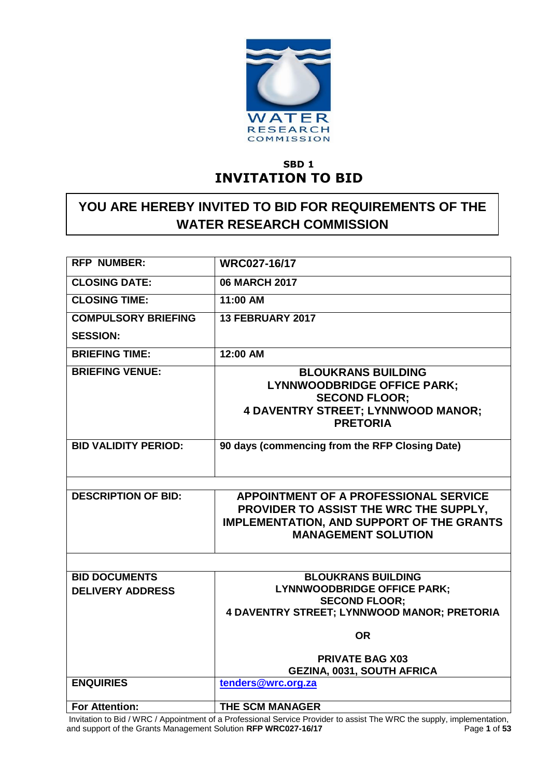

## **SBD 1 INVITATION TO BID**

## **YOU ARE HEREBY INVITED TO BID FOR REQUIREMENTS OF THE WATER RESEARCH COMMISSION**

| <b>RFP NUMBER:</b>                              | WRC027-16/17                                                                                                                                                             |
|-------------------------------------------------|--------------------------------------------------------------------------------------------------------------------------------------------------------------------------|
| <b>CLOSING DATE:</b>                            | <b>06 MARCH 2017</b>                                                                                                                                                     |
| <b>CLOSING TIME:</b>                            | 11:00 AM                                                                                                                                                                 |
| <b>COMPULSORY BRIEFING</b>                      | 13 FEBRUARY 2017                                                                                                                                                         |
| <b>SESSION:</b>                                 |                                                                                                                                                                          |
| <b>BRIEFING TIME:</b>                           | 12:00 AM                                                                                                                                                                 |
| <b>BRIEFING VENUE:</b>                          | <b>BLOUKRANS BUILDING</b><br><b>LYNNWOODBRIDGE OFFICE PARK;</b><br><b>SECOND FLOOR:</b><br><b>4 DAVENTRY STREET; LYNNWOOD MANOR;</b><br><b>PRETORIA</b>                  |
| <b>BID VALIDITY PERIOD:</b>                     | 90 days (commencing from the RFP Closing Date)                                                                                                                           |
|                                                 |                                                                                                                                                                          |
| <b>DESCRIPTION OF BID:</b>                      | <b>APPOINTMENT OF A PROFESSIONAL SERVICE</b><br>PROVIDER TO ASSIST THE WRC THE SUPPLY,<br><b>IMPLEMENTATION, AND SUPPORT OF THE GRANTS</b><br><b>MANAGEMENT SOLUTION</b> |
|                                                 |                                                                                                                                                                          |
| <b>BID DOCUMENTS</b><br><b>DELIVERY ADDRESS</b> | <b>BLOUKRANS BUILDING</b><br><b>LYNNWOODBRIDGE OFFICE PARK;</b><br><b>SECOND FLOOR:</b><br><b>4 DAVENTRY STREET; LYNNWOOD MANOR; PRETORIA</b>                            |
|                                                 | <b>OR</b>                                                                                                                                                                |
|                                                 | <b>PRIVATE BAG X03</b><br><b>GEZINA, 0031, SOUTH AFRICA</b>                                                                                                              |
| <b>ENQUIRIES</b>                                | tenders@wrc.org.za                                                                                                                                                       |
| <b>For Attention:</b>                           | <b>THE SCM MANAGER</b>                                                                                                                                                   |

Invitation to Bid / WRC / Appointment of a Professional Service Provider to assist The WRC the supply, implementation, and support of the Grants Management Solution **RFP WRC027-16/17** Page **1** of **53**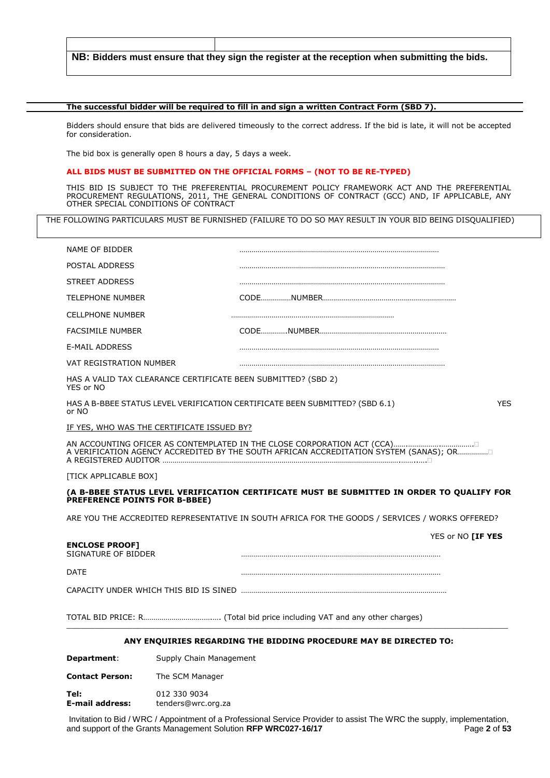**NB: Bidders must ensure that they sign the register at the reception when submitting the bids.**

#### **The successful bidder will be required to fill in and sign a written Contract Form (SBD 7).**

Bidders should ensure that bids are delivered timeously to the correct address. If the bid is late, it will not be accepted for consideration.

The bid box is generally open 8 hours a day, 5 days a week.

#### **ALL BIDS MUST BE SUBMITTED ON THE OFFICIAL FORMS – (NOT TO BE RE-TYPED)**

THIS BID IS SUBJECT TO THE PREFERENTIAL PROCUREMENT POLICY FRAMEWORK ACT AND THE PREFERENTIAL PROCUREMENT REGULATIONS, 2011, THE GENERAL CONDITIONS OF CONTRACT (GCC) AND, IF APPLICABLE, ANY OTHER SPECIAL CONDITIONS OF CONTRACT

THE FOLLOWING PARTICULARS MUST BE FURNISHED (FAILURE TO DO SO MAY RESULT IN YOUR BID BEING DISQUALIFIED)

| Department:                                  | Supply Chain Management                                                                         |  |                          |
|----------------------------------------------|-------------------------------------------------------------------------------------------------|--|--------------------------|
|                                              | ANY ENQUIRIES REGARDING THE BIDDING PROCEDURE MAY BE DIRECTED TO:                               |  |                          |
|                                              |                                                                                                 |  |                          |
|                                              |                                                                                                 |  |                          |
| <b>DATE</b>                                  |                                                                                                 |  |                          |
| <b>ENCLOSE PROOF]</b><br>SIGNATURE OF BIDDER |                                                                                                 |  | YES or NO <b>[IF YES</b> |
|                                              | ARE YOU THE ACCREDITED REPRESENTATIVE IN SOUTH AFRICA FOR THE GOODS / SERVICES / WORKS OFFERED? |  |                          |
| PREFERENCE POINTS FOR B-BBEE)                |                                                                                                 |  |                          |
| [TICK APPLICABLE BOX]                        | (A B-BBEE STATUS LEVEL VERIFICATION CERTIFICATE MUST BE SUBMITTED IN ORDER TO QUALIFY FOR       |  |                          |
|                                              | A VERIFICATION AGENCY ACCREDITED BY THE SOUTH AFRICAN ACCREDITATION SYSTEM (SANAS); OR          |  |                          |
|                                              |                                                                                                 |  |                          |
|                                              | <u>IF YES, WHO WAS THE CERTIFICATE ISSUED BY?</u>                                               |  |                          |
| or NO                                        | HAS A B-BBEE STATUS LEVEL VERIFICATION CERTIFICATE BEEN SUBMITTED? (SBD 6.1)                    |  | <b>YES</b>               |
| YES or NO                                    | HAS A VALID TAX CLEARANCE CERTIFICATE BEEN SUBMITTED? (SBD 2)                                   |  |                          |
| VAT REGISTRATION NUMBER                      |                                                                                                 |  |                          |
| <b>E-MAIL ADDRESS</b>                        |                                                                                                 |  |                          |
| <b>FACSIMILE NUMBER</b>                      |                                                                                                 |  |                          |
| <b>CELLPHONE NUMBER</b>                      |                                                                                                 |  |                          |
| <b>TELEPHONE NUMBER</b>                      |                                                                                                 |  |                          |
| <b>STREET ADDRESS</b>                        |                                                                                                 |  |                          |
| POSTAL ADDRESS                               |                                                                                                 |  |                          |

**Contact Person:** The SCM Manager

**Tel:** 012 330 9034<br> **E-mail address:** tenders@wrc.c **E-mail address:** tenders@wrc.org.za

Invitation to Bid / WRC / Appointment of a Professional Service Provider to assist The WRC the supply, implementation, and support of the Grants Management Solution **RFP WRC027-16/17** Page 2 of 53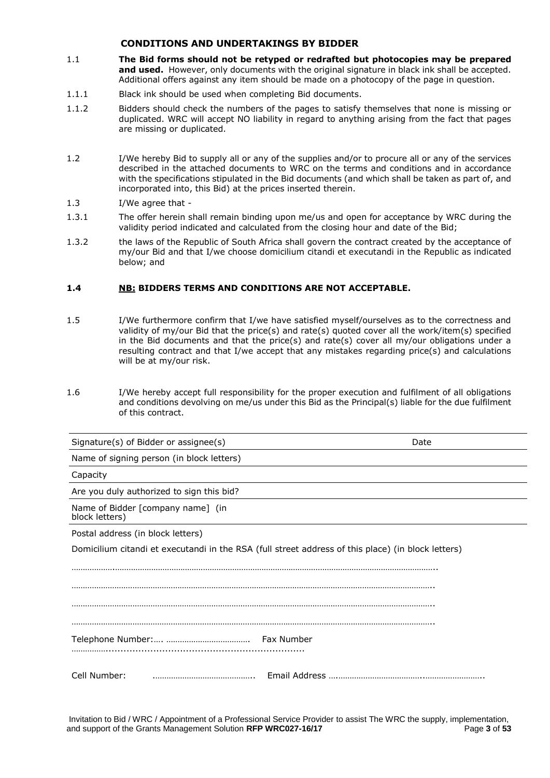#### **CONDITIONS AND UNDERTAKINGS BY BIDDER**

- 1.1 **The Bid forms should not be retyped or redrafted but photocopies may be prepared**  and used. However, only documents with the original signature in black ink shall be accepted. Additional offers against any item should be made on a photocopy of the page in question.
- 1.1.1 Black ink should be used when completing Bid documents.
- 1.1.2 Bidders should check the numbers of the pages to satisfy themselves that none is missing or duplicated. WRC will accept NO liability in regard to anything arising from the fact that pages are missing or duplicated.
- 1.2 I/We hereby Bid to supply all or any of the supplies and/or to procure all or any of the services described in the attached documents to WRC on the terms and conditions and in accordance with the specifications stipulated in the Bid documents (and which shall be taken as part of, and incorporated into, this Bid) at the prices inserted therein.

#### 1.3 I/We agree that -

- 1.3.1 The offer herein shall remain binding upon me/us and open for acceptance by WRC during the validity period indicated and calculated from the closing hour and date of the Bid;
- 1.3.2 the laws of the Republic of South Africa shall govern the contract created by the acceptance of my/our Bid and that I/we choose domicilium citandi et executandi in the Republic as indicated below; and

#### **1.4 NB: BIDDERS TERMS AND CONDITIONS ARE NOT ACCEPTABLE.**

- 1.5 I/We furthermore confirm that I/we have satisfied myself/ourselves as to the correctness and validity of my/our Bid that the price(s) and rate(s) quoted cover all the work/item(s) specified in the Bid documents and that the price(s) and rate(s) cover all my/our obligations under a resulting contract and that I/we accept that any mistakes regarding price(s) and calculations will be at my/our risk.
- 1.6 I/We hereby accept full responsibility for the proper execution and fulfilment of all obligations and conditions devolving on me/us under this Bid as the Principal(s) liable for the due fulfilment of this contract.

| Signature(s) of Bidder or assignee(s)               | Date                                                                                               |
|-----------------------------------------------------|----------------------------------------------------------------------------------------------------|
| Name of signing person (in block letters)           |                                                                                                    |
| Capacity                                            |                                                                                                    |
| Are you duly authorized to sign this bid?           |                                                                                                    |
| Name of Bidder [company name] (in<br>block letters) |                                                                                                    |
| Postal address (in block letters)                   |                                                                                                    |
|                                                     | Domicilium citandi et executandi in the RSA (full street address of this place) (in block letters) |
|                                                     |                                                                                                    |
|                                                     |                                                                                                    |
|                                                     |                                                                                                    |
|                                                     |                                                                                                    |
|                                                     |                                                                                                    |
|                                                     |                                                                                                    |
| Cell Number:                                        |                                                                                                    |

Invitation to Bid / WRC / Appointment of a Professional Service Provider to assist The WRC the supply, implementation, and support of the Grants Management Solution **RFP WRC027-16/17** Page 3 of 53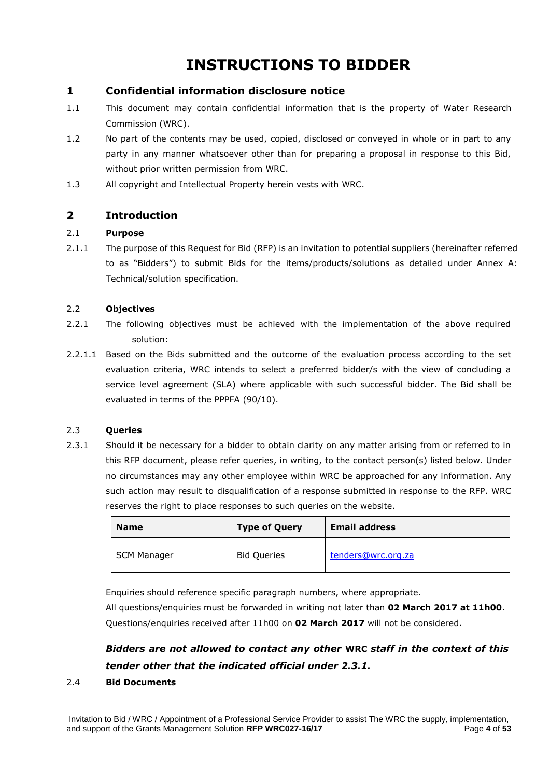# **INSTRUCTIONS TO BIDDER**

### **1 Confidential information disclosure notice**

- 1.1 This document may contain confidential information that is the property of Water Research Commission (WRC).
- 1.2 No part of the contents may be used, copied, disclosed or conveyed in whole or in part to any party in any manner whatsoever other than for preparing a proposal in response to this Bid, without prior written permission from WRC.
- 1.3 All copyright and Intellectual Property herein vests with WRC.

### **2 Introduction**

#### 2.1 **Purpose**

2.1.1 The purpose of this Request for Bid (RFP) is an invitation to potential suppliers (hereinafter referred to as "Bidders") to submit Bids for the items/products/solutions as detailed under Annex A: Technical/solution specification.

#### 2.2 **Objectives**

- 2.2.1 The following objectives must be achieved with the implementation of the above required solution:
- 2.2.1.1 Based on the Bids submitted and the outcome of the evaluation process according to the set evaluation criteria, WRC intends to select a preferred bidder/s with the view of concluding a service level agreement (SLA) where applicable with such successful bidder. The Bid shall be evaluated in terms of the PPPFA (90/10).

#### 2.3 **Queries**

2.3.1 Should it be necessary for a bidder to obtain clarity on any matter arising from or referred to in this RFP document, please refer queries, in writing, to the contact person(s) listed below. Under no circumstances may any other employee within WRC be approached for any information. Any such action may result to disqualification of a response submitted in response to the RFP. WRC reserves the right to place responses to such queries on the website.

| <b>Name</b> | <b>Type of Query</b> | <b>Email address</b> |
|-------------|----------------------|----------------------|
| SCM Manager | <b>Bid Queries</b>   | tenders@wrc.org.za   |

Enquiries should reference specific paragraph numbers, where appropriate.

All questions/enquiries must be forwarded in writing not later than **02 March 2017 at 11h00**. Questions/enquiries received after 11h00 on **02 March 2017** will not be considered.

## *Bidders are not allowed to contact any other* **WRC** *staff in the context of this tender other that the indicated official under 2.3.1.*

#### 2.4 **Bid Documents**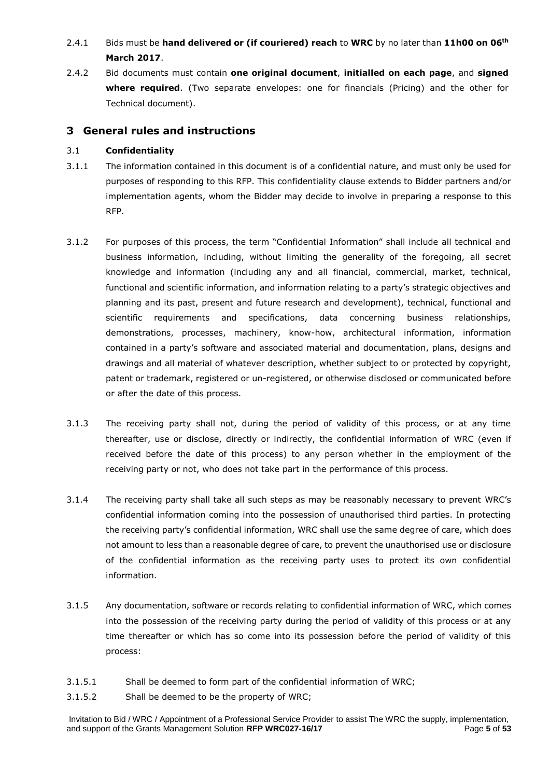## 2.4.1 Bids must be **hand delivered or (if couriered) reach** to **WRC** by no later than **11h00 on 06th March 2017**.

2.4.2 Bid documents must contain **one original document**, **initialled on each page**, and **signed where required**. (Two separate envelopes: one for financials (Pricing) and the other for Technical document).

### **3 General rules and instructions**

#### 3.1 **Confidentiality**

- 3.1.1 The information contained in this document is of a confidential nature, and must only be used for purposes of responding to this RFP. This confidentiality clause extends to Bidder partners and/or implementation agents, whom the Bidder may decide to involve in preparing a response to this RFP.
- 3.1.2 For purposes of this process, the term "Confidential Information" shall include all technical and business information, including, without limiting the generality of the foregoing, all secret knowledge and information (including any and all financial, commercial, market, technical, functional and scientific information, and information relating to a party's strategic objectives and planning and its past, present and future research and development), technical, functional and scientific requirements and specifications, data concerning business relationships, demonstrations, processes, machinery, know-how, architectural information, information contained in a party's software and associated material and documentation, plans, designs and drawings and all material of whatever description, whether subject to or protected by copyright, patent or trademark, registered or un-registered, or otherwise disclosed or communicated before or after the date of this process.
- 3.1.3 The receiving party shall not, during the period of validity of this process, or at any time thereafter, use or disclose, directly or indirectly, the confidential information of WRC (even if received before the date of this process) to any person whether in the employment of the receiving party or not, who does not take part in the performance of this process.
- 3.1.4 The receiving party shall take all such steps as may be reasonably necessary to prevent WRC's confidential information coming into the possession of unauthorised third parties. In protecting the receiving party's confidential information, WRC shall use the same degree of care, which does not amount to less than a reasonable degree of care, to prevent the unauthorised use or disclosure of the confidential information as the receiving party uses to protect its own confidential information.
- 3.1.5 Any documentation, software or records relating to confidential information of WRC, which comes into the possession of the receiving party during the period of validity of this process or at any time thereafter or which has so come into its possession before the period of validity of this process:
- 3.1.5.1 Shall be deemed to form part of the confidential information of WRC;
- 3.1.5.2 Shall be deemed to be the property of WRC;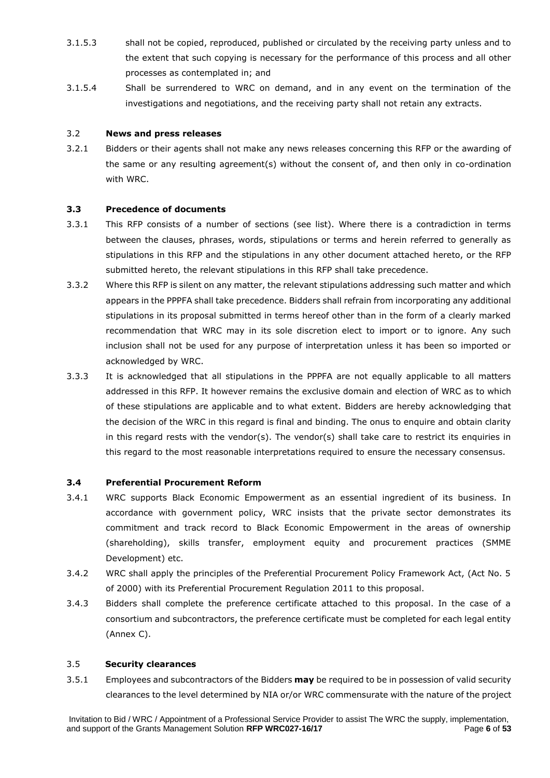- 3.1.5.3 shall not be copied, reproduced, published or circulated by the receiving party unless and to the extent that such copying is necessary for the performance of this process and all other processes as contemplated in; and
- 3.1.5.4 Shall be surrendered to WRC on demand, and in any event on the termination of the investigations and negotiations, and the receiving party shall not retain any extracts.

#### 3.2 **News and press releases**

3.2.1 Bidders or their agents shall not make any news releases concerning this RFP or the awarding of the same or any resulting agreement(s) without the consent of, and then only in co-ordination with WRC.

#### **3.3 Precedence of documents**

- 3.3.1 This RFP consists of a number of sections (see list). Where there is a contradiction in terms between the clauses, phrases, words, stipulations or terms and herein referred to generally as stipulations in this RFP and the stipulations in any other document attached hereto, or the RFP submitted hereto, the relevant stipulations in this RFP shall take precedence.
- 3.3.2 Where this RFP is silent on any matter, the relevant stipulations addressing such matter and which appears in the PPPFA shall take precedence. Bidders shall refrain from incorporating any additional stipulations in its proposal submitted in terms hereof other than in the form of a clearly marked recommendation that WRC may in its sole discretion elect to import or to ignore. Any such inclusion shall not be used for any purpose of interpretation unless it has been so imported or acknowledged by WRC.
- 3.3.3 It is acknowledged that all stipulations in the PPPFA are not equally applicable to all matters addressed in this RFP. It however remains the exclusive domain and election of WRC as to which of these stipulations are applicable and to what extent. Bidders are hereby acknowledging that the decision of the WRC in this regard is final and binding. The onus to enguire and obtain clarity in this regard rests with the vendor(s). The vendor(s) shall take care to restrict its enquiries in this regard to the most reasonable interpretations required to ensure the necessary consensus.

#### **3.4 Preferential Procurement Reform**

- 3.4.1 WRC supports Black Economic Empowerment as an essential ingredient of its business. In accordance with government policy, WRC insists that the private sector demonstrates its commitment and track record to Black Economic Empowerment in the areas of ownership (shareholding), skills transfer, employment equity and procurement practices (SMME Development) etc.
- 3.4.2 WRC shall apply the principles of the Preferential Procurement Policy Framework Act, (Act No. 5 of 2000) with its Preferential Procurement Regulation 2011 to this proposal.
- 3.4.3 Bidders shall complete the preference certificate attached to this proposal. In the case of a consortium and subcontractors, the preference certificate must be completed for each legal entity (Annex C).

#### 3.5 **Security clearances**

3.5.1 Employees and subcontractors of the Bidders **may** be required to be in possession of valid security clearances to the level determined by NIA or/or WRC commensurate with the nature of the project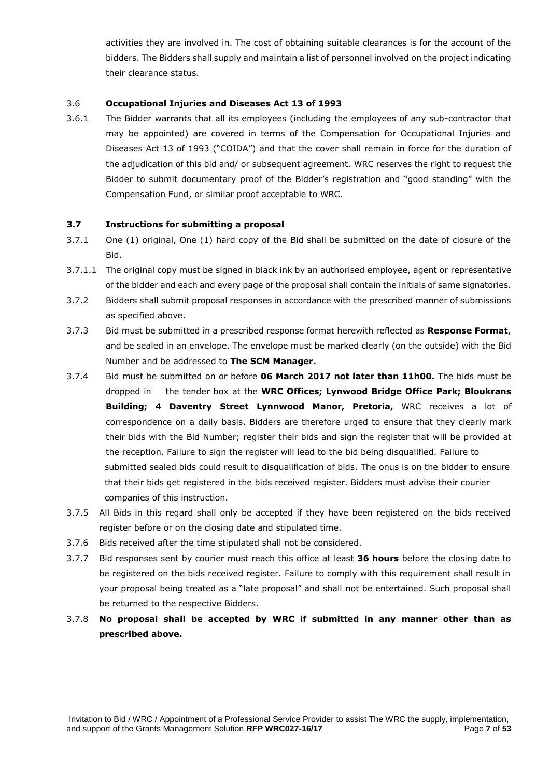activities they are involved in. The cost of obtaining suitable clearances is for the account of the bidders. The Bidders shall supply and maintain a list of personnel involved on the project indicating their clearance status.

#### 3.6 **Occupational Injuries and Diseases Act 13 of 1993**

3.6.1 The Bidder warrants that all its employees (including the employees of any sub-contractor that may be appointed) are covered in terms of the Compensation for Occupational Injuries and Diseases Act 13 of 1993 ("COIDA") and that the cover shall remain in force for the duration of the adjudication of this bid and/ or subsequent agreement. WRC reserves the right to request the Bidder to submit documentary proof of the Bidder's registration and "good standing" with the Compensation Fund, or similar proof acceptable to WRC.

#### **3.7 Instructions for submitting a proposal**

- 3.7.1 One (1) original, One (1) hard copy of the Bid shall be submitted on the date of closure of the Bid.
- 3.7.1.1 The original copy must be signed in black ink by an authorised employee, agent or representative of the bidder and each and every page of the proposal shall contain the initials of same signatories.
- 3.7.2 Bidders shall submit proposal responses in accordance with the prescribed manner of submissions as specified above.
- 3.7.3 Bid must be submitted in a prescribed response format herewith reflected as **Response Format**, and be sealed in an envelope. The envelope must be marked clearly (on the outside) with the Bid Number and be addressed to **The SCM Manager.**
- 3.7.4 Bid must be submitted on or before **06 March 2017 not later than 11h00.** The bids must be dropped in the tender box at the **WRC Offices; Lynwood Bridge Office Park; Bloukrans Building; 4 Daventry Street Lynnwood Manor, Pretoria,** WRC receives a lot of correspondence on a daily basis. Bidders are therefore urged to ensure that they clearly mark their bids with the Bid Number; register their bids and sign the register that will be provided at the reception. Failure to sign the register will lead to the bid being disqualified. Failure to submitted sealed bids could result to disqualification of bids. The onus is on the bidder to ensure that their bids get registered in the bids received register. Bidders must advise their courier companies of this instruction.
- 3.7.5 All Bids in this regard shall only be accepted if they have been registered on the bids received register before or on the closing date and stipulated time.
- 3.7.6 Bids received after the time stipulated shall not be considered.
- 3.7.7 Bid responses sent by courier must reach this office at least **36 hours** before the closing date to be registered on the bids received register. Failure to comply with this requirement shall result in your proposal being treated as a "late proposal" and shall not be entertained. Such proposal shall be returned to the respective Bidders.
- 3.7.8 **No proposal shall be accepted by WRC if submitted in any manner other than as prescribed above.**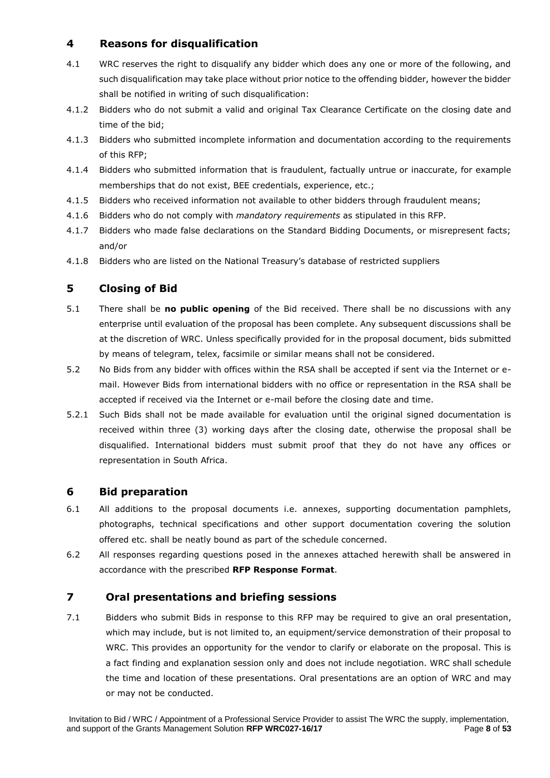## **4 Reasons for disqualification**

- 4.1 WRC reserves the right to disqualify any bidder which does any one or more of the following, and such disqualification may take place without prior notice to the offending bidder, however the bidder shall be notified in writing of such disqualification:
- 4.1.2 Bidders who do not submit a valid and original Tax Clearance Certificate on the closing date and time of the bid;
- 4.1.3 Bidders who submitted incomplete information and documentation according to the requirements of this RFP;
- 4.1.4 Bidders who submitted information that is fraudulent, factually untrue or inaccurate, for example memberships that do not exist, BEE credentials, experience, etc.;
- 4.1.5 Bidders who received information not available to other bidders through fraudulent means;
- 4.1.6 Bidders who do not comply with *mandatory requirements* as stipulated in this RFP.
- 4.1.7 Bidders who made false declarations on the Standard Bidding Documents, or misrepresent facts; and/or
- 4.1.8 Bidders who are listed on the National Treasury's database of restricted suppliers

### **5 Closing of Bid**

- 5.1 There shall be **no public opening** of the Bid received. There shall be no discussions with any enterprise until evaluation of the proposal has been complete. Any subsequent discussions shall be at the discretion of WRC. Unless specifically provided for in the proposal document, bids submitted by means of telegram, telex, facsimile or similar means shall not be considered.
- 5.2 No Bids from any bidder with offices within the RSA shall be accepted if sent via the Internet or email. However Bids from international bidders with no office or representation in the RSA shall be accepted if received via the Internet or e-mail before the closing date and time.
- 5.2.1 Such Bids shall not be made available for evaluation until the original signed documentation is received within three (3) working days after the closing date, otherwise the proposal shall be disqualified. International bidders must submit proof that they do not have any offices or representation in South Africa.

#### **6 Bid preparation**

- 6.1 All additions to the proposal documents i.e. annexes, supporting documentation pamphlets, photographs, technical specifications and other support documentation covering the solution offered etc. shall be neatly bound as part of the schedule concerned.
- 6.2 All responses regarding questions posed in the annexes attached herewith shall be answered in accordance with the prescribed **RFP Response Format**.

#### **7 Oral presentations and briefing sessions**

7.1 Bidders who submit Bids in response to this RFP may be required to give an oral presentation, which may include, but is not limited to, an equipment/service demonstration of their proposal to WRC. This provides an opportunity for the vendor to clarify or elaborate on the proposal. This is a fact finding and explanation session only and does not include negotiation. WRC shall schedule the time and location of these presentations. Oral presentations are an option of WRC and may or may not be conducted.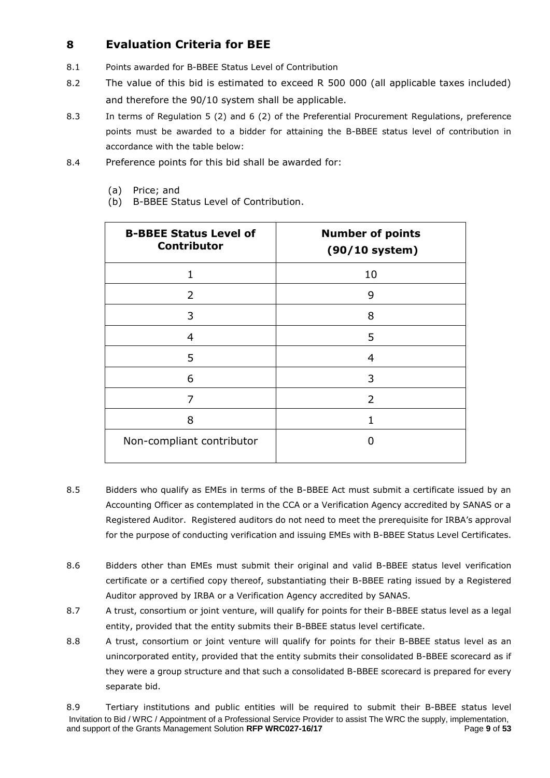## **8 Evaluation Criteria for BEE**

- 8.1 Points awarded for B-BBEE Status Level of Contribution
- 8.2 The value of this bid is estimated to exceed R 500 000 (all applicable taxes included) and therefore the 90/10 system shall be applicable.
- 8.3 In terms of Regulation 5 (2) and 6 (2) of the Preferential Procurement Regulations, preference points must be awarded to a bidder for attaining the B-BBEE status level of contribution in accordance with the table below:
- 8.4 Preference points for this bid shall be awarded for:
	- (a) Price; and
	- (b) B-BBEE Status Level of Contribution.

| <b>B-BBEE Status Level of</b><br><b>Contributor</b> | <b>Number of points</b><br>$(90/10$ system) |
|-----------------------------------------------------|---------------------------------------------|
| 1                                                   | 10                                          |
| 2                                                   | 9                                           |
| 3                                                   | 8                                           |
| 4                                                   | 5                                           |
| 5                                                   | 4                                           |
| 6                                                   | 3                                           |
| 7                                                   | 2                                           |
| 8                                                   |                                             |
| Non-compliant contributor                           |                                             |

- 8.5 Bidders who qualify as EMEs in terms of the B-BBEE Act must submit a certificate issued by an Accounting Officer as contemplated in the CCA or a Verification Agency accredited by SANAS or a Registered Auditor. Registered auditors do not need to meet the prerequisite for IRBA's approval for the purpose of conducting verification and issuing EMEs with B-BBEE Status Level Certificates.
- 8.6 Bidders other than EMEs must submit their original and valid B-BBEE status level verification certificate or a certified copy thereof, substantiating their B-BBEE rating issued by a Registered Auditor approved by IRBA or a Verification Agency accredited by SANAS.
- 8.7 A trust, consortium or joint venture, will qualify for points for their B-BBEE status level as a legal entity, provided that the entity submits their B-BBEE status level certificate.
- 8.8 A trust, consortium or joint venture will qualify for points for their B-BBEE status level as an unincorporated entity, provided that the entity submits their consolidated B-BBEE scorecard as if they were a group structure and that such a consolidated B-BBEE scorecard is prepared for every separate bid.

Invitation to Bid / WRC / Appointment of a Professional Service Provider to assist The WRC the supply, implementation, and support of the Grants Management Solution **RFP WRC027-16/17** Page 9 of 53 8.9 Tertiary institutions and public entities will be required to submit their B-BBEE status level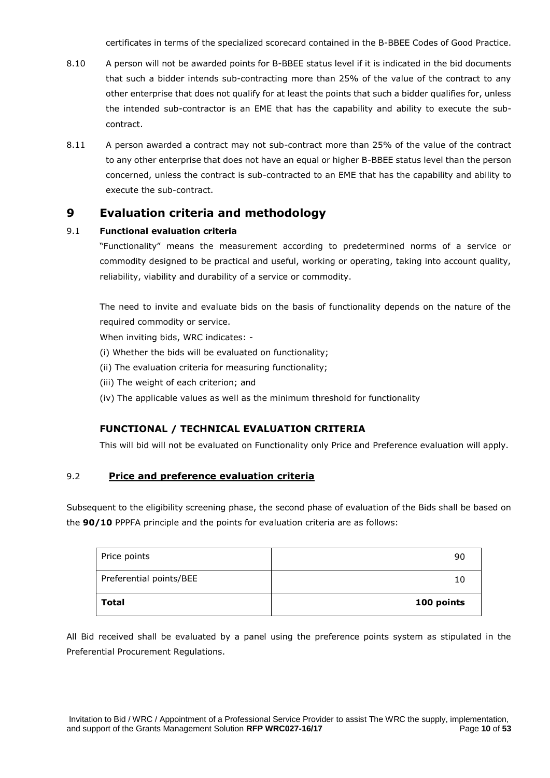certificates in terms of the specialized scorecard contained in the B-BBEE Codes of Good Practice.

- 8.10 A person will not be awarded points for B-BBEE status level if it is indicated in the bid documents that such a bidder intends sub-contracting more than 25% of the value of the contract to any other enterprise that does not qualify for at least the points that such a bidder qualifies for, unless the intended sub-contractor is an EME that has the capability and ability to execute the subcontract.
- 8.11 A person awarded a contract may not sub-contract more than 25% of the value of the contract to any other enterprise that does not have an equal or higher B-BBEE status level than the person concerned, unless the contract is sub-contracted to an EME that has the capability and ability to execute the sub-contract.

## **9 Evaluation criteria and methodology**

#### 9.1 **Functional evaluation criteria**

"Functionality" means the measurement according to predetermined norms of a service or commodity designed to be practical and useful, working or operating, taking into account quality, reliability, viability and durability of a service or commodity.

The need to invite and evaluate bids on the basis of functionality depends on the nature of the required commodity or service.

When inviting bids, WRC indicates: -

- (i) Whether the bids will be evaluated on functionality;
- (ii) The evaluation criteria for measuring functionality;
- (iii) The weight of each criterion; and
- (iv) The applicable values as well as the minimum threshold for functionality

#### **FUNCTIONAL / TECHNICAL EVALUATION CRITERIA**

This will bid will not be evaluated on Functionality only Price and Preference evaluation will apply.

#### 9.2 **Price and preference evaluation criteria**

Subsequent to the eligibility screening phase, the second phase of evaluation of the Bids shall be based on the **90/10** PPPFA principle and the points for evaluation criteria are as follows:

| Total                   | 100 points |
|-------------------------|------------|
| Preferential points/BEE | 10         |
| Price points            | 90         |

All Bid received shall be evaluated by a panel using the preference points system as stipulated in the Preferential Procurement Regulations.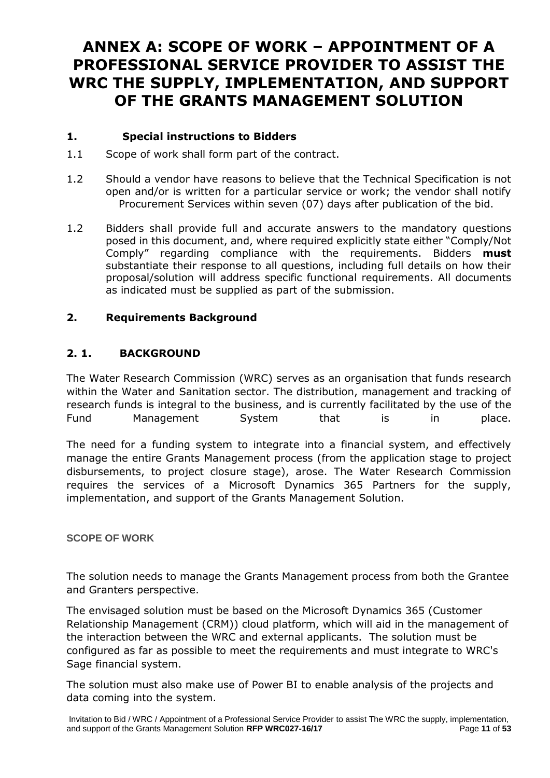## **ANNEX A: SCOPE OF WORK – APPOINTMENT OF A PROFESSIONAL SERVICE PROVIDER TO ASSIST THE WRC THE SUPPLY, IMPLEMENTATION, AND SUPPORT OF THE GRANTS MANAGEMENT SOLUTION**

## **1. Special instructions to Bidders**

- 1.1 Scope of work shall form part of the contract.
- 1.2 Should a vendor have reasons to believe that the Technical Specification is not open and/or is written for a particular service or work; the vendor shall notify Procurement Services within seven (07) days after publication of the bid.
- 1.2 Bidders shall provide full and accurate answers to the mandatory questions posed in this document, and, where required explicitly state either "Comply/Not Comply" regarding compliance with the requirements. Bidders **must** substantiate their response to all questions, including full details on how their proposal/solution will address specific functional requirements. All documents as indicated must be supplied as part of the submission.

## **2. Requirements Background**

## **2. 1. BACKGROUND**

The Water Research Commission (WRC) serves as an organisation that funds research within the Water and Sanitation sector. The distribution, management and tracking of research funds is integral to the business, and is currently facilitated by the use of the Fund Management System that is in place.

The need for a funding system to integrate into a financial system, and effectively manage the entire Grants Management process (from the application stage to project disbursements, to project closure stage), arose. The Water Research Commission requires the services of a Microsoft Dynamics 365 Partners for the supply, implementation, and support of the Grants Management Solution.

## **SCOPE OF WORK**

The solution needs to manage the Grants Management process from both the Grantee and Granters perspective.

The envisaged solution must be based on the Microsoft Dynamics 365 (Customer Relationship Management (CRM)) cloud platform, which will aid in the management of the interaction between the WRC and external applicants. The solution must be configured as far as possible to meet the requirements and must integrate to WRC's Sage financial system.

The solution must also make use of Power BI to enable analysis of the projects and data coming into the system.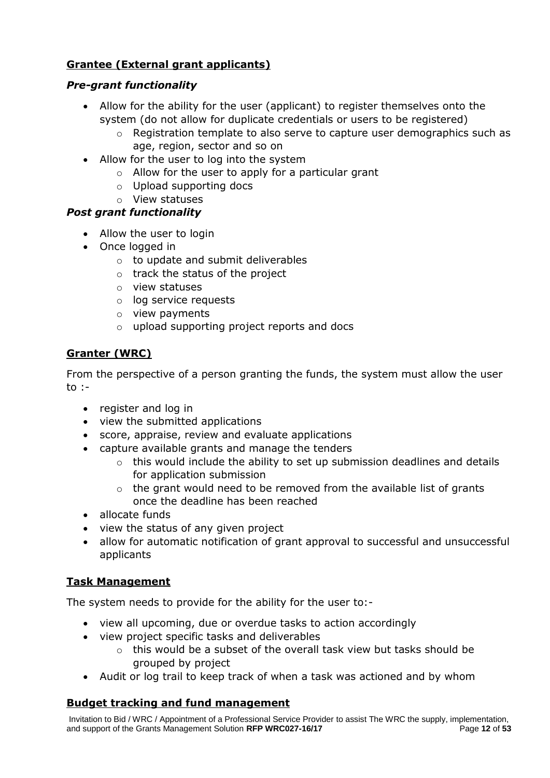## **Grantee (External grant applicants)**

## *Pre-grant functionality*

- Allow for the ability for the user (applicant) to register themselves onto the system (do not allow for duplicate credentials or users to be registered)
	- $\circ$  Registration template to also serve to capture user demographics such as age, region, sector and so on
- Allow for the user to log into the system
	- $\circ$  Allow for the user to apply for a particular grant
	- o Upload supporting docs
	- o View statuses

## *Post grant functionality*

- Allow the user to login
- Once logged in
	- o to update and submit deliverables
	- o track the status of the project
	- o view statuses
	- o log service requests
	- o view payments
	- o upload supporting project reports and docs

## **Granter (WRC)**

From the perspective of a person granting the funds, the system must allow the user to :-

- register and log in
- view the submitted applications
- score, appraise, review and evaluate applications
- capture available grants and manage the tenders
	- $\circ$  this would include the ability to set up submission deadlines and details for application submission
	- $\circ$  the grant would need to be removed from the available list of grants once the deadline has been reached
- allocate funds
- view the status of any given project
- allow for automatic notification of grant approval to successful and unsuccessful applicants

## **Task Management**

The system needs to provide for the ability for the user to:-

- view all upcoming, due or overdue tasks to action accordingly
- view project specific tasks and deliverables
	- $\circ$  this would be a subset of the overall task view but tasks should be grouped by project
- Audit or log trail to keep track of when a task was actioned and by whom

## **Budget tracking and fund management**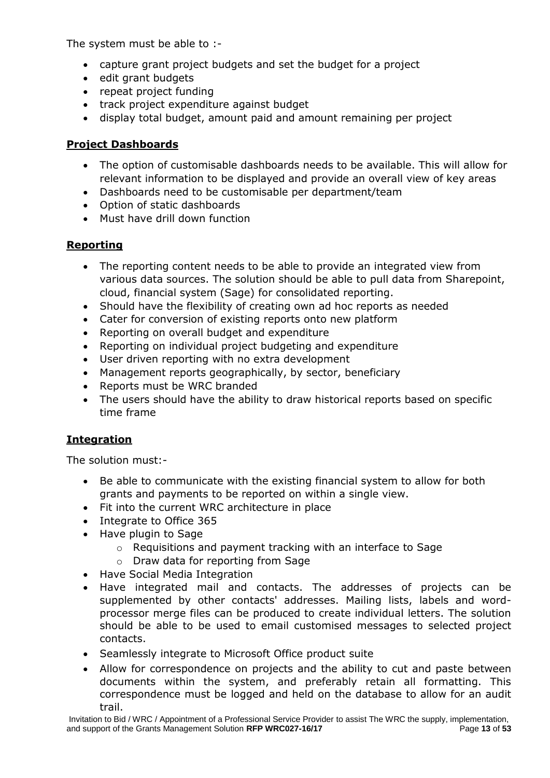The system must be able to :-

- capture grant project budgets and set the budget for a project
- edit grant budgets
- repeat project funding
- track project expenditure against budget
- display total budget, amount paid and amount remaining per project

## **Project Dashboards**

- The option of customisable dashboards needs to be available. This will allow for relevant information to be displayed and provide an overall view of key areas
- Dashboards need to be customisable per department/team
- Option of static dashboards
- Must have drill down function

## **Reporting**

- The reporting content needs to be able to provide an integrated view from various data sources. The solution should be able to pull data from Sharepoint, cloud, financial system (Sage) for consolidated reporting.
- Should have the flexibility of creating own ad hoc reports as needed
- Cater for conversion of existing reports onto new platform
- Reporting on overall budget and expenditure
- Reporting on individual project budgeting and expenditure
- User driven reporting with no extra development
- Management reports geographically, by sector, beneficiary
- Reports must be WRC branded
- The users should have the ability to draw historical reports based on specific time frame

## **Integration**

The solution must:-

- Be able to communicate with the existing financial system to allow for both grants and payments to be reported on within a single view.
- Fit into the current WRC architecture in place
- Integrate to Office 365
- Have plugin to Sage
	- o Requisitions and payment tracking with an interface to Sage
	- o Draw data for reporting from Sage
- Have Social Media Integration
- Have integrated mail and contacts. The addresses of projects can be supplemented by other contacts' addresses. Mailing lists, labels and wordprocessor merge files can be produced to create individual letters. The solution should be able to be used to email customised messages to selected project contacts.
- Seamlessly integrate to Microsoft Office product suite
- Allow for correspondence on projects and the ability to cut and paste between documents within the system, and preferably retain all formatting. This correspondence must be logged and held on the database to allow for an audit trail.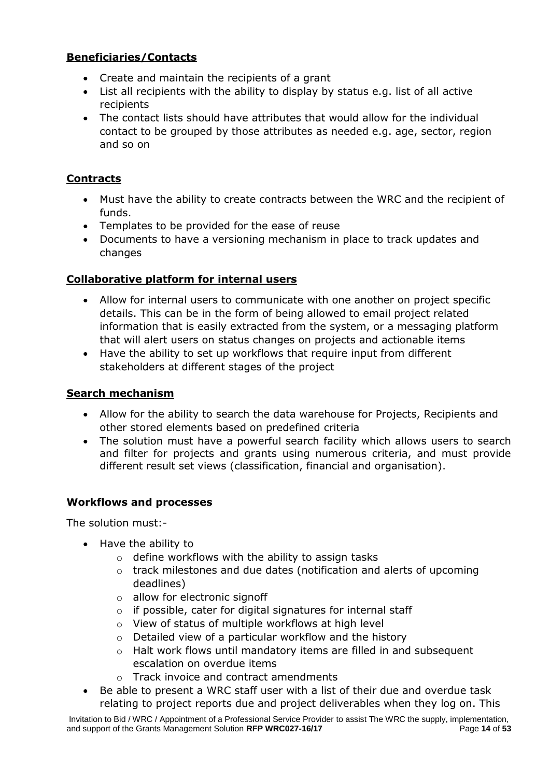## **Beneficiaries/Contacts**

- Create and maintain the recipients of a grant
- List all recipients with the ability to display by status e.g. list of all active recipients
- The contact lists should have attributes that would allow for the individual contact to be grouped by those attributes as needed e.g. age, sector, region and so on

## **Contracts**

- Must have the ability to create contracts between the WRC and the recipient of funds.
- Templates to be provided for the ease of reuse
- Documents to have a versioning mechanism in place to track updates and changes

## **Collaborative platform for internal users**

- Allow for internal users to communicate with one another on project specific details. This can be in the form of being allowed to email project related information that is easily extracted from the system, or a messaging platform that will alert users on status changes on projects and actionable items
- Have the ability to set up workflows that require input from different stakeholders at different stages of the project

## **Search mechanism**

- Allow for the ability to search the data warehouse for Projects, Recipients and other stored elements based on predefined criteria
- The solution must have a powerful search facility which allows users to search and filter for projects and grants using numerous criteria, and must provide different result set views (classification, financial and organisation).

## **Workflows and processes**

The solution must:-

- Have the ability to
	- $\circ$  define workflows with the ability to assign tasks
	- o track milestones and due dates (notification and alerts of upcoming deadlines)
	- o allow for electronic signoff
	- o if possible, cater for digital signatures for internal staff
	- o View of status of multiple workflows at high level
	- o Detailed view of a particular workflow and the history
	- $\circ$  Halt work flows until mandatory items are filled in and subsequent escalation on overdue items
	- o Track invoice and contract amendments
- Be able to present a WRC staff user with a list of their due and overdue task relating to project reports due and project deliverables when they log on. This

Invitation to Bid / WRC / Appointment of a Professional Service Provider to assist The WRC the supply, implementation, and support of the Grants Management Solution **RFP WRC027-16/17** Page **14** of **53**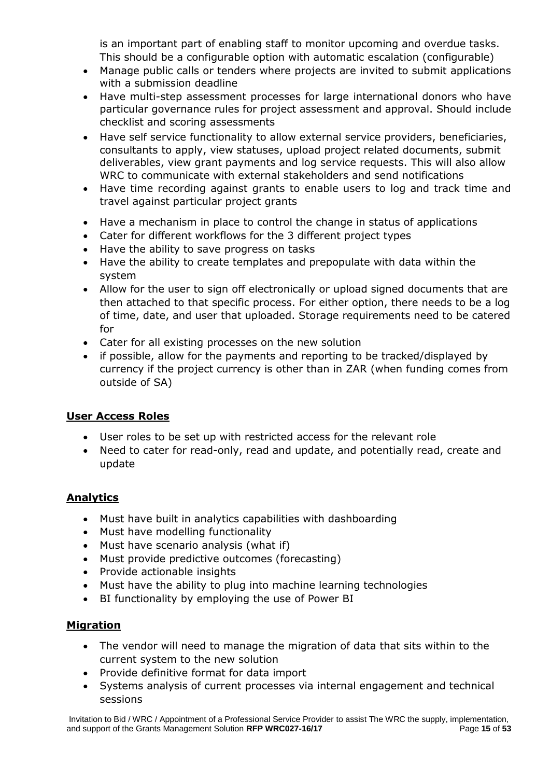is an important part of enabling staff to monitor upcoming and overdue tasks. This should be a configurable option with automatic escalation (configurable)

- Manage public calls or tenders where projects are invited to submit applications with a submission deadline
- Have multi-step assessment processes for large international donors who have particular governance rules for project assessment and approval. Should include checklist and scoring assessments
- Have self service functionality to allow external service providers, beneficiaries, consultants to apply, view statuses, upload project related documents, submit deliverables, view grant payments and log service requests. This will also allow WRC to communicate with external stakeholders and send notifications
- Have time recording against grants to enable users to log and track time and travel against particular project grants
- Have a mechanism in place to control the change in status of applications
- Cater for different workflows for the 3 different project types
- Have the ability to save progress on tasks
- Have the ability to create templates and prepopulate with data within the system
- Allow for the user to sign off electronically or upload signed documents that are then attached to that specific process. For either option, there needs to be a log of time, date, and user that uploaded. Storage requirements need to be catered for
- Cater for all existing processes on the new solution
- if possible, allow for the payments and reporting to be tracked/displayed by currency if the project currency is other than in ZAR (when funding comes from outside of SA)

## **User Access Roles**

- User roles to be set up with restricted access for the relevant role
- Need to cater for read-only, read and update, and potentially read, create and update

## **Analytics**

- Must have built in analytics capabilities with dashboarding
- Must have modelling functionality
- Must have scenario analysis (what if)
- Must provide predictive outcomes (forecasting)
- Provide actionable insights
- Must have the ability to plug into machine learning technologies
- BI functionality by employing the use of Power BI

## **Migration**

- The vendor will need to manage the migration of data that sits within to the current system to the new solution
- Provide definitive format for data import
- Systems analysis of current processes via internal engagement and technical sessions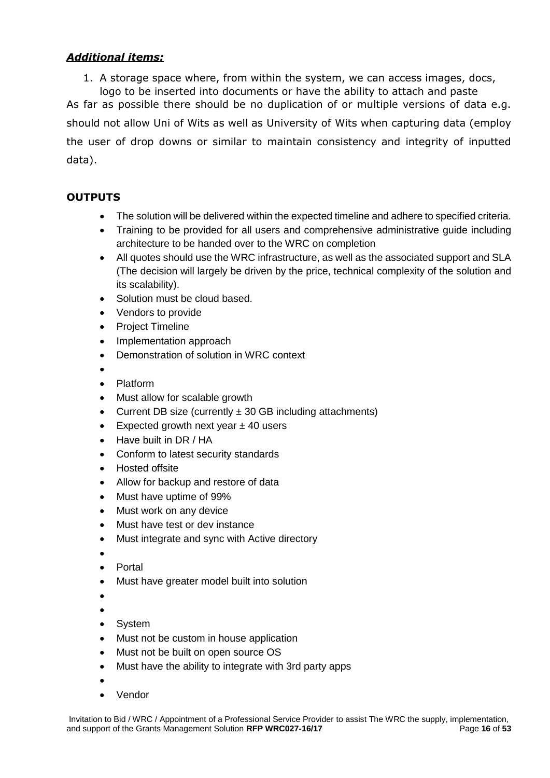## *Additional items:*

1. A storage space where, from within the system, we can access images, docs, logo to be inserted into documents or have the ability to attach and paste

As far as possible there should be no duplication of or multiple versions of data e.g. should not allow Uni of Wits as well as University of Wits when capturing data (employ the user of drop downs or similar to maintain consistency and integrity of inputted data).

## **OUTPUTS**

- The solution will be delivered within the expected timeline and adhere to specified criteria.
- Training to be provided for all users and comprehensive administrative guide including architecture to be handed over to the WRC on completion
- All quotes should use the WRC infrastructure, as well as the associated support and SLA (The decision will largely be driven by the price, technical complexity of the solution and its scalability).
- Solution must be cloud based.
- Vendors to provide
- Project Timeline
- Implementation approach
- Demonstration of solution in WRC context
- $\bullet$
- Platform
- Must allow for scalable growth
- Current DB size (currently  $\pm$  30 GB including attachments)
- Expected growth next year  $\pm$  40 users
- Have built in DR / HA
- Conform to latest security standards
- Hosted offsite
- Allow for backup and restore of data
- Must have uptime of 99%
- Must work on any device
- Must have test or dev instance
- Must integrate and sync with Active directory
- $\bullet$
- Portal
- Must have greater model built into solution
- $\bullet$
- $\bullet$
- System
- Must not be custom in house application
- Must not be built on open source OS
- Must have the ability to integrate with 3rd party apps
- $\bullet$
- Vendor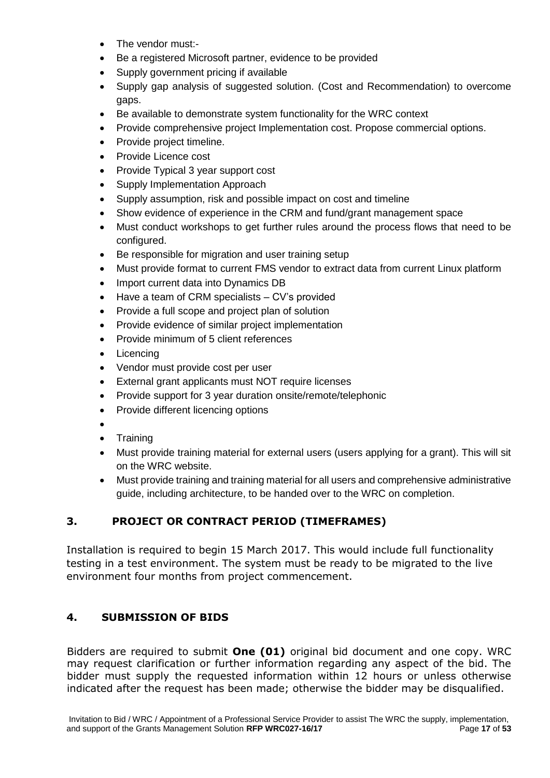- The vendor must:-
- Be a registered Microsoft partner, evidence to be provided
- Supply government pricing if available
- Supply gap analysis of suggested solution. (Cost and Recommendation) to overcome gaps.
- Be available to demonstrate system functionality for the WRC context
- Provide comprehensive project Implementation cost. Propose commercial options.
- Provide project timeline.
- Provide Licence cost
- Provide Typical 3 year support cost
- Supply Implementation Approach
- Supply assumption, risk and possible impact on cost and timeline
- Show evidence of experience in the CRM and fund/grant management space
- Must conduct workshops to get further rules around the process flows that need to be configured.
- Be responsible for migration and user training setup
- Must provide format to current FMS vendor to extract data from current Linux platform
- Import current data into Dynamics DB
- Have a team of CRM specialists CV's provided
- Provide a full scope and project plan of solution
- Provide evidence of similar project implementation
- Provide minimum of 5 client references
- Licencing
- Vendor must provide cost per user
- External grant applicants must NOT require licenses
- Provide support for 3 year duration onsite/remote/telephonic
- Provide different licencing options
- $\bullet$
- Training
- Must provide training material for external users (users applying for a grant). This will sit on the WRC website.
- Must provide training and training material for all users and comprehensive administrative guide, including architecture, to be handed over to the WRC on completion.

## **3. PROJECT OR CONTRACT PERIOD (TIMEFRAMES)**

Installation is required to begin 15 March 2017. This would include full functionality testing in a test environment. The system must be ready to be migrated to the live environment four months from project commencement.

## **4. SUBMISSION OF BIDS**

Bidders are required to submit **One (01)** original bid document and one copy. WRC may request clarification or further information regarding any aspect of the bid. The bidder must supply the requested information within 12 hours or unless otherwise indicated after the request has been made; otherwise the bidder may be disqualified.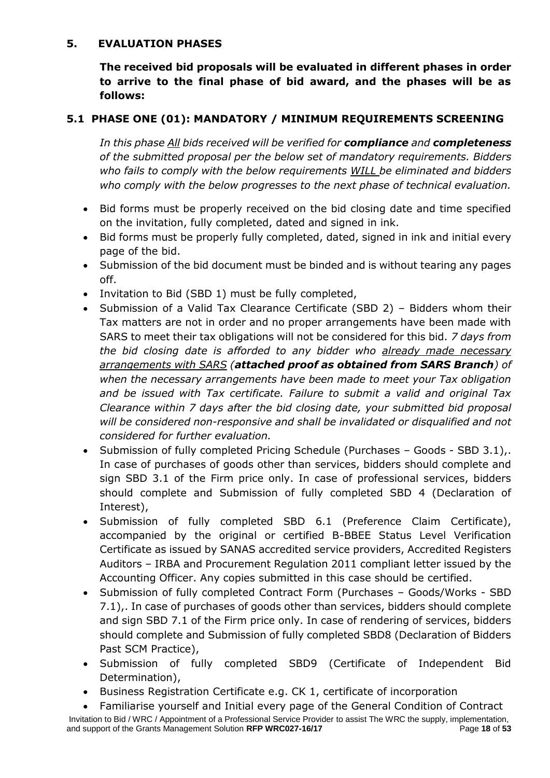## **5. EVALUATION PHASES**

**The received bid proposals will be evaluated in different phases in order to arrive to the final phase of bid award, and the phases will be as follows:**

## **5.1 PHASE ONE (01): MANDATORY / MINIMUM REQUIREMENTS SCREENING**

*In this phase All bids received will be verified for compliance and completeness of the submitted proposal per the below set of mandatory requirements. Bidders who fails to comply with the below requirements WILL be eliminated and bidders who comply with the below progresses to the next phase of technical evaluation.*

- Bid forms must be properly received on the bid closing date and time specified on the invitation, fully completed, dated and signed in ink.
- Bid forms must be properly fully completed, dated, signed in ink and initial every page of the bid.
- Submission of the bid document must be binded and is without tearing any pages off.
- Invitation to Bid (SBD 1) must be fully completed,
- Submission of a Valid Tax Clearance Certificate (SBD 2) Bidders whom their Tax matters are not in order and no proper arrangements have been made with SARS to meet their tax obligations will not be considered for this bid. *7 days from the bid closing date is afforded to any bidder who already made necessary arrangements with SARS (attached proof as obtained from SARS Branch) of when the necessary arrangements have been made to meet your Tax obligation and be issued with Tax certificate. Failure to submit a valid and original Tax Clearance within 7 days after the bid closing date, your submitted bid proposal will be considered non-responsive and shall be invalidated or disqualified and not considered for further evaluation.*
- Submission of fully completed Pricing Schedule (Purchases Goods SBD 3.1),. In case of purchases of goods other than services, bidders should complete and sign SBD 3.1 of the Firm price only. In case of professional services, bidders should complete and Submission of fully completed SBD 4 (Declaration of Interest),
- Submission of fully completed SBD 6.1 (Preference Claim Certificate), accompanied by the original or certified B-BBEE Status Level Verification Certificate as issued by SANAS accredited service providers, Accredited Registers Auditors – IRBA and Procurement Regulation 2011 compliant letter issued by the Accounting Officer. Any copies submitted in this case should be certified.
- Submission of fully completed Contract Form (Purchases Goods/Works SBD 7.1),. In case of purchases of goods other than services, bidders should complete and sign SBD 7.1 of the Firm price only. In case of rendering of services, bidders should complete and Submission of fully completed SBD8 (Declaration of Bidders Past SCM Practice),
- Submission of fully completed SBD9 (Certificate of Independent Bid Determination),
- Business Registration Certificate e.g. CK 1, certificate of incorporation
- Familiarise yourself and Initial every page of the General Condition of Contract

Invitation to Bid / WRC / Appointment of a Professional Service Provider to assist The WRC the supply, implementation, and support of the Grants Management Solution **RFP WRC027-16/17** Page **18** of **53**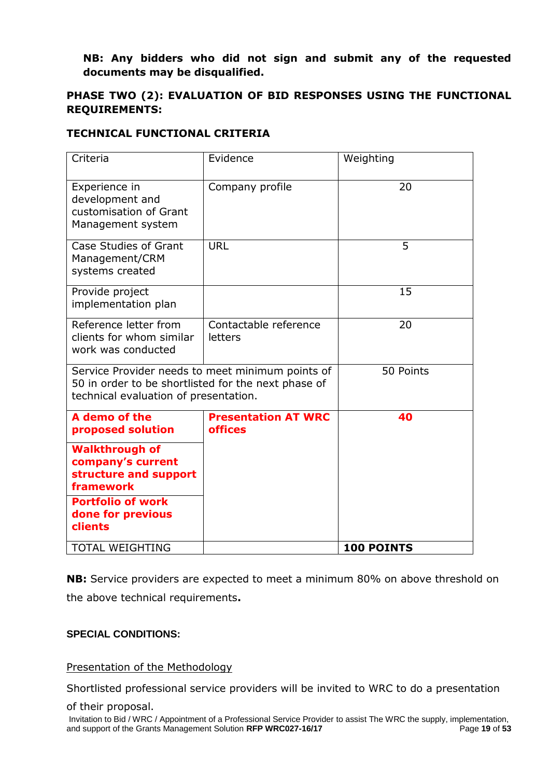## **NB: Any bidders who did not sign and submit any of the requested documents may be disqualified.**

## **PHASE TWO (2): EVALUATION OF BID RESPONSES USING THE FUNCTIONAL REQUIREMENTS:**

## **TECHNICAL FUNCTIONAL CRITERIA**

| Criteria                                                                                                                                         | Evidence                                     | Weighting         |
|--------------------------------------------------------------------------------------------------------------------------------------------------|----------------------------------------------|-------------------|
| Experience in<br>development and<br>customisation of Grant<br>Management system                                                                  | Company profile                              | 20                |
| Case Studies of Grant<br>Management/CRM<br>systems created                                                                                       | URL                                          | 5                 |
| Provide project<br>implementation plan                                                                                                           |                                              | 15                |
| Reference letter from<br>clients for whom similar<br>work was conducted                                                                          | Contactable reference<br>letters             | 20                |
| Service Provider needs to meet minimum points of<br>50 in order to be shortlisted for the next phase of<br>technical evaluation of presentation. |                                              | 50 Points         |
| A demo of the<br>proposed solution                                                                                                               | <b>Presentation AT WRC</b><br><b>offices</b> | 40                |
| <b>Walkthrough of</b><br>company's current<br>structure and support<br>framework                                                                 |                                              |                   |
| <b>Portfolio of work</b><br>done for previous<br>clients                                                                                         |                                              |                   |
| <b>TOTAL WEIGHTING</b>                                                                                                                           |                                              | <b>100 POINTS</b> |

**NB:** Service providers are expected to meet a minimum 80% on above threshold on the above technical requirements**.**

## **SPECIAL CONDITIONS:**

Presentation of the Methodology

Shortlisted professional service providers will be invited to WRC to do a presentation

of their proposal.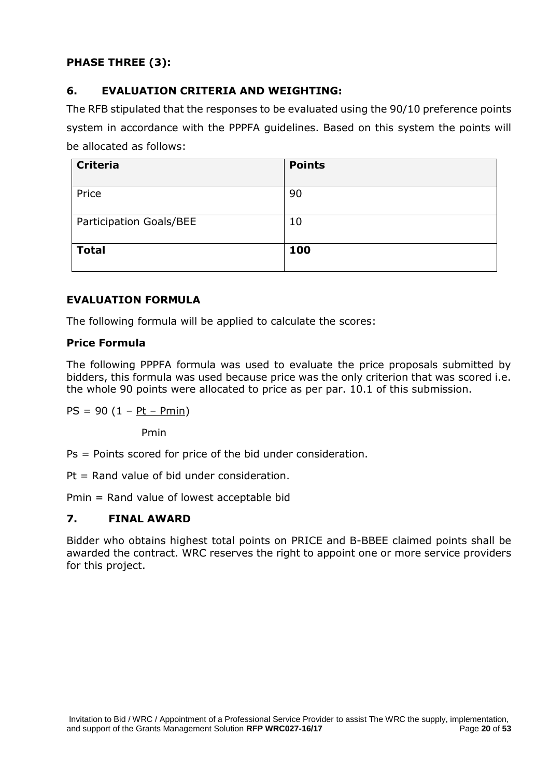## **PHASE THREE (3):**

## **6. EVALUATION CRITERIA AND WEIGHTING:**

The RFB stipulated that the responses to be evaluated using the 90/10 preference points system in accordance with the PPPFA guidelines. Based on this system the points will be allocated as follows:

| <b>Criteria</b>         | <b>Points</b> |
|-------------------------|---------------|
| Price                   | 90            |
| Participation Goals/BEE | 10            |
| <b>Total</b>            | 100           |

## **EVALUATION FORMULA**

The following formula will be applied to calculate the scores:

## **Price Formula**

The following PPPFA formula was used to evaluate the price proposals submitted by bidders, this formula was used because price was the only criterion that was scored i.e. the whole 90 points were allocated to price as per par. 10.1 of this submission.

 $PS = 90 (1 - Pt - Pmin)$ 

Pmin

Ps = Points scored for price of the bid under consideration.

 $Pt = Rand$  value of bid under consideration.

Pmin = Rand value of lowest acceptable bid

## **7. FINAL AWARD**

Bidder who obtains highest total points on PRICE and B-BBEE claimed points shall be awarded the contract. WRC reserves the right to appoint one or more service providers for this project.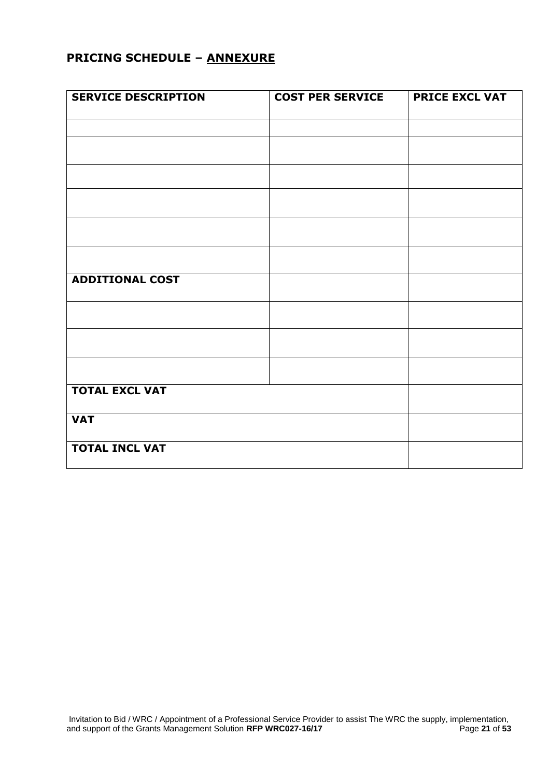## **PRICING SCHEDULE – ANNEXURE**

| <b>SERVICE DESCRIPTION</b> | <b>COST PER SERVICE</b> | <b>PRICE EXCL VAT</b> |
|----------------------------|-------------------------|-----------------------|
|                            |                         |                       |
|                            |                         |                       |
|                            |                         |                       |
|                            |                         |                       |
|                            |                         |                       |
|                            |                         |                       |
| <b>ADDITIONAL COST</b>     |                         |                       |
|                            |                         |                       |
|                            |                         |                       |
|                            |                         |                       |
| <b>TOTAL EXCL VAT</b>      |                         |                       |
| <b>VAT</b>                 |                         |                       |
| <b>TOTAL INCL VAT</b>      |                         |                       |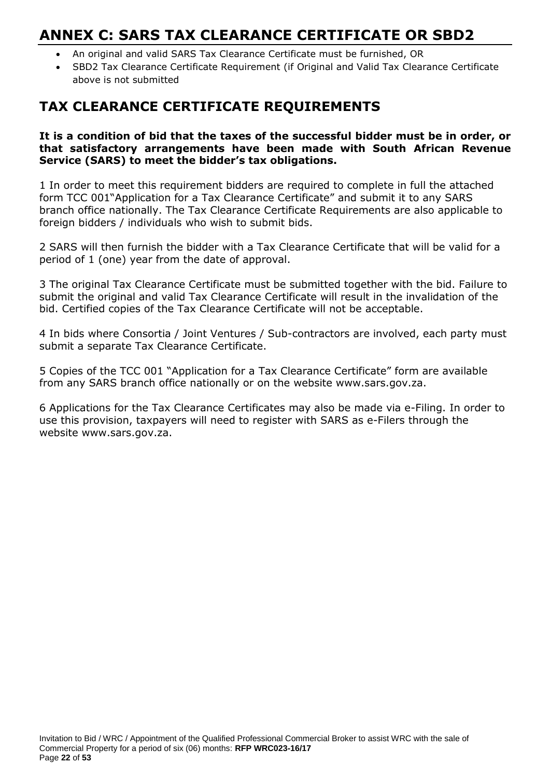## **ANNEX C: SARS TAX CLEARANCE CERTIFICATE OR SBD2**

- An original and valid SARS Tax Clearance Certificate must be furnished, OR
- SBD2 Tax Clearance Certificate Requirement (if Original and Valid Tax Clearance Certificate above is not submitted

## **TAX CLEARANCE CERTIFICATE REQUIREMENTS**

#### **It is a condition of bid that the taxes of the successful bidder must be in order, or that satisfactory arrangements have been made with South African Revenue Service (SARS) to meet the bidder's tax obligations.**

1 In order to meet this requirement bidders are required to complete in full the attached form TCC 001"Application for a Tax Clearance Certificate" and submit it to any SARS branch office nationally. The Tax Clearance Certificate Requirements are also applicable to foreign bidders / individuals who wish to submit bids.

2 SARS will then furnish the bidder with a Tax Clearance Certificate that will be valid for a period of 1 (one) year from the date of approval.

3 The original Tax Clearance Certificate must be submitted together with the bid. Failure to submit the original and valid Tax Clearance Certificate will result in the invalidation of the bid. Certified copies of the Tax Clearance Certificate will not be acceptable.

4 In bids where Consortia / Joint Ventures / Sub-contractors are involved, each party must submit a separate Tax Clearance Certificate.

5 Copies of the TCC 001 "Application for a Tax Clearance Certificate" form are available from any SARS branch office nationally or on the website www.sars.gov.za.

6 Applications for the Tax Clearance Certificates may also be made via e-Filing. In order to use this provision, taxpayers will need to register with SARS as e-Filers through the website www.sars.gov.za.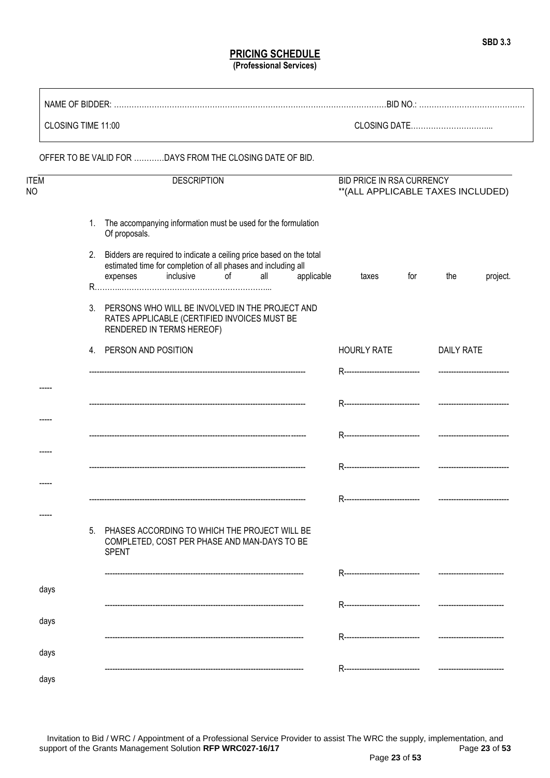#### **PRICING SCHEDULE (Professional Services)**

| CLOSING TIME 11:00 |    |                                                                                                                                                                                                                           |                    |                                                                                                                                                                                                                                |     |            |                                                                 |     |                   |          |
|--------------------|----|---------------------------------------------------------------------------------------------------------------------------------------------------------------------------------------------------------------------------|--------------------|--------------------------------------------------------------------------------------------------------------------------------------------------------------------------------------------------------------------------------|-----|------------|-----------------------------------------------------------------|-----|-------------------|----------|
|                    |    | OFFER TO BE VALID FOR  DAYS FROM THE CLOSING DATE OF BID.                                                                                                                                                                 |                    |                                                                                                                                                                                                                                |     |            |                                                                 |     |                   |          |
| ITEM<br>NΟ         |    |                                                                                                                                                                                                                           | <b>DESCRIPTION</b> |                                                                                                                                                                                                                                |     |            | BID PRICE IN RSA CURRENCY<br>** (ALL APPLICABLE TAXES INCLUDED) |     |                   |          |
|                    | 1. | The accompanying information must be used for the formulation<br>Of proposals.<br>2. Bidders are required to indicate a ceiling price based on the total<br>estimated time for completion of all phases and including all |                    |                                                                                                                                                                                                                                |     |            |                                                                 |     |                   |          |
|                    |    | expenses                                                                                                                                                                                                                  | inclusive          | of the contract of the contract of the contract of the contract of the contract of the contract of the contract of the contract of the contract of the contract of the contract of the contract of the contract of the contrac | all | applicable | taxes                                                           | for | the               | project. |
|                    | 3. | PERSONS WHO WILL BE INVOLVED IN THE PROJECT AND<br>RATES APPLICABLE (CERTIFIED INVOICES MUST BE<br>RENDERED IN TERMS HEREOF)                                                                                              |                    |                                                                                                                                                                                                                                |     |            |                                                                 |     |                   |          |
|                    |    | 4. PERSON AND POSITION                                                                                                                                                                                                    |                    |                                                                                                                                                                                                                                |     |            | <b>HOURLY RATE</b>                                              |     | <b>DAILY RATE</b> |          |
|                    |    |                                                                                                                                                                                                                           |                    |                                                                                                                                                                                                                                |     |            |                                                                 |     |                   |          |
|                    |    |                                                                                                                                                                                                                           |                    |                                                                                                                                                                                                                                |     |            |                                                                 |     |                   |          |
|                    |    |                                                                                                                                                                                                                           |                    |                                                                                                                                                                                                                                |     |            |                                                                 |     |                   |          |
|                    |    |                                                                                                                                                                                                                           |                    |                                                                                                                                                                                                                                |     |            |                                                                 |     |                   |          |
|                    |    |                                                                                                                                                                                                                           |                    |                                                                                                                                                                                                                                |     |            |                                                                 |     |                   |          |
|                    |    |                                                                                                                                                                                                                           |                    |                                                                                                                                                                                                                                |     |            |                                                                 |     |                   |          |
|                    |    |                                                                                                                                                                                                                           |                    |                                                                                                                                                                                                                                |     |            |                                                                 |     |                   |          |
|                    | 5. | PHASES ACCORDING TO WHICH THE PROJECT WILL BE<br>COMPLETED, COST PER PHASE AND MAN-DAYS TO BE<br><b>SPENT</b>                                                                                                             |                    |                                                                                                                                                                                                                                |     |            |                                                                 |     |                   |          |
|                    |    |                                                                                                                                                                                                                           |                    |                                                                                                                                                                                                                                |     |            | R-------------------------------                                |     |                   |          |
| days               |    |                                                                                                                                                                                                                           |                    |                                                                                                                                                                                                                                |     |            | R-------------------------------                                |     |                   |          |
| days               |    |                                                                                                                                                                                                                           |                    |                                                                                                                                                                                                                                |     |            |                                                                 |     |                   |          |
|                    |    |                                                                                                                                                                                                                           |                    |                                                                                                                                                                                                                                |     |            | R-------------------------------                                |     |                   |          |
| days               |    |                                                                                                                                                                                                                           |                    |                                                                                                                                                                                                                                |     |            | R-------------------------------                                |     |                   |          |
| days               |    |                                                                                                                                                                                                                           |                    |                                                                                                                                                                                                                                |     |            |                                                                 |     |                   |          |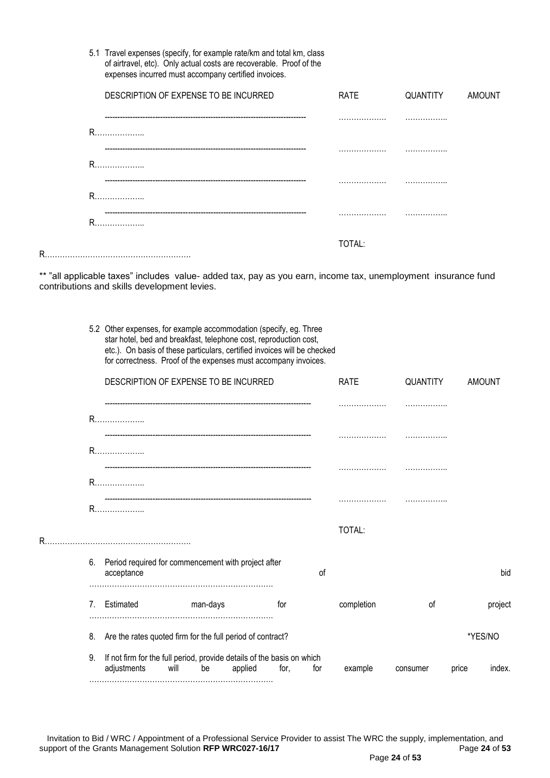| 5.1 Travel expenses (specify, for example rate/km and total km, class |
|-----------------------------------------------------------------------|
| of airtravel, etc). Only actual costs are recoverable. Proof of the   |
| expenses incurred must accompany certified invoices.                  |

|    | DESCRIPTION OF EXPENSE TO BE INCURRED | <b>RATE</b> | QUANTITY | AMOUNT |
|----|---------------------------------------|-------------|----------|--------|
|    | R                                     |             | .        |        |
|    | R                                     |             | .        |        |
|    | R                                     |             |          |        |
|    | R                                     |             | .        |        |
| R. |                                       | TOTAL:      |          |        |

\*\* "all applicable taxes" includes value- added tax, pay as you earn, income tax, unemployment insurance fund contributions and skills development levies.

> 5.2 Other expenses, for example accommodation (specify, eg. Three star hotel, bed and breakfast, telephone cost, reproduction cost, etc.). On basis of these particulars, certified invoices will be checked for correctness. Proof of the expenses must accompany invoices.

|    |                                                                                             | DESCRIPTION OF EXPENSE TO BE INCURRED |         |      |     | <b>RATE</b> | QUANTITY |       | <b>AMOUNT</b> |
|----|---------------------------------------------------------------------------------------------|---------------------------------------|---------|------|-----|-------------|----------|-------|---------------|
|    |                                                                                             |                                       |         |      |     |             |          |       |               |
|    |                                                                                             |                                       |         |      |     |             |          |       |               |
|    | R                                                                                           |                                       |         |      |     |             |          |       |               |
|    |                                                                                             |                                       |         |      |     |             |          |       |               |
| R. |                                                                                             |                                       |         |      |     | TOTAL:      |          |       |               |
|    | Period required for commencement with project after<br>6.<br>acceptance                     |                                       |         |      | οf  |             |          |       | bid           |
|    | Estimated<br>7.                                                                             | man-days                              |         | for  |     | completion  | οf       |       | project       |
|    | Are the rates quoted firm for the full period of contract?<br>8.                            |                                       |         |      |     |             |          |       | *YES/NO       |
|    | If not firm for the full period, provide details of the basis on which<br>9.<br>adjustments | be<br>will                            | applied | for. | for | example     | consumer | price | index.        |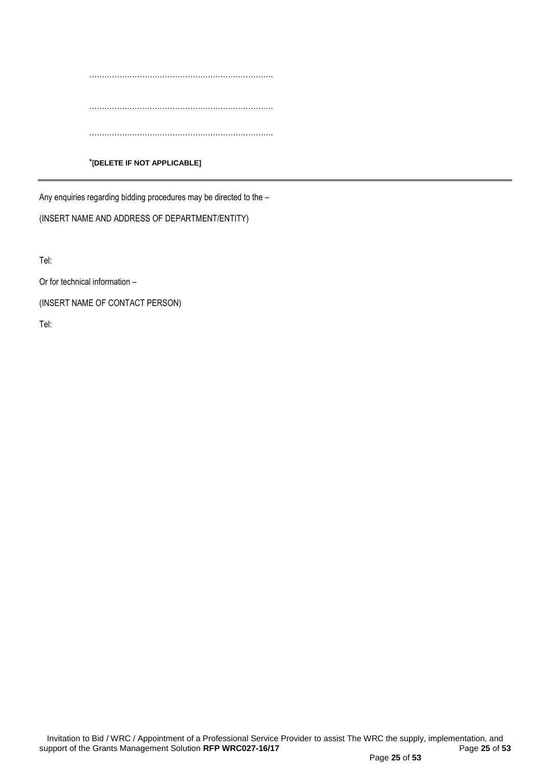………………………………………………………………. ………………………………………………………………. …………………………………………………………………

#### \***[DELETE IF NOT APPLICABLE]**

Any enquiries regarding bidding procedures may be directed to the –

(INSERT NAME AND ADDRESS OF DEPARTMENT/ENTITY)

Tel:

Or for technical information –

(INSERT NAME OF CONTACT PERSON)

Tel: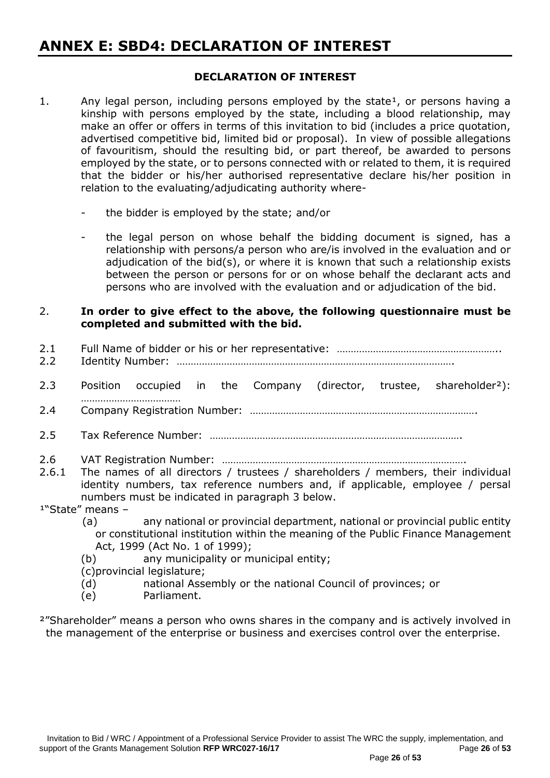## **ANNEX E: SBD4: DECLARATION OF INTEREST**

### **DECLARATION OF INTEREST**

- 1. Any legal person, including persons employed by the state<sup>1</sup>, or persons having a kinship with persons employed by the state, including a blood relationship, may make an offer or offers in terms of this invitation to bid (includes a price quotation, advertised competitive bid, limited bid or proposal). In view of possible allegations of favouritism, should the resulting bid, or part thereof, be awarded to persons employed by the state, or to persons connected with or related to them, it is required that the bidder or his/her authorised representative declare his/her position in relation to the evaluating/adjudicating authority where
	- the bidder is employed by the state; and/or
	- the legal person on whose behalf the bidding document is signed, has a relationship with persons/a person who are/is involved in the evaluation and or adjudication of the bid(s), or where it is known that such a relationship exists between the person or persons for or on whose behalf the declarant acts and persons who are involved with the evaluation and or adjudication of the bid.

### 2. **In order to give effect to the above, the following questionnaire must be completed and submitted with the bid.**

- 2.1 Full Name of bidder or his or her representative: …………………………………………………………………… 2.2 Identity Number: ………………………………………………………………………………………. 2.3 Position occupied in the Company (director, trustee, shareholder<sup>2</sup>): ……………………………… 2.4 Company Registration Number: ………………………………………………………………………. 2.5 Tax Reference Number: ………………………………………………………………………………. 2.6 VAT Registration Number: ……………………………………………………………………………. 2.6.1 The names of all directors / trustees / shareholders / members, their individual identity numbers, tax reference numbers and, if applicable, employee / persal numbers must be indicated in paragraph 3 below.  $1"State"$  means -
	- (a) any national or provincial department, national or provincial public entity or constitutional institution within the meaning of the Public Finance Management Act, 1999 (Act No. 1 of 1999);
	- (b) any municipality or municipal entity;

(c)provincial legislature;

- (d) national Assembly or the national Council of provinces; or
- (e) Parliament.
- <sup>2</sup>"Shareholder" means a person who owns shares in the company and is actively involved in the management of the enterprise or business and exercises control over the enterprise.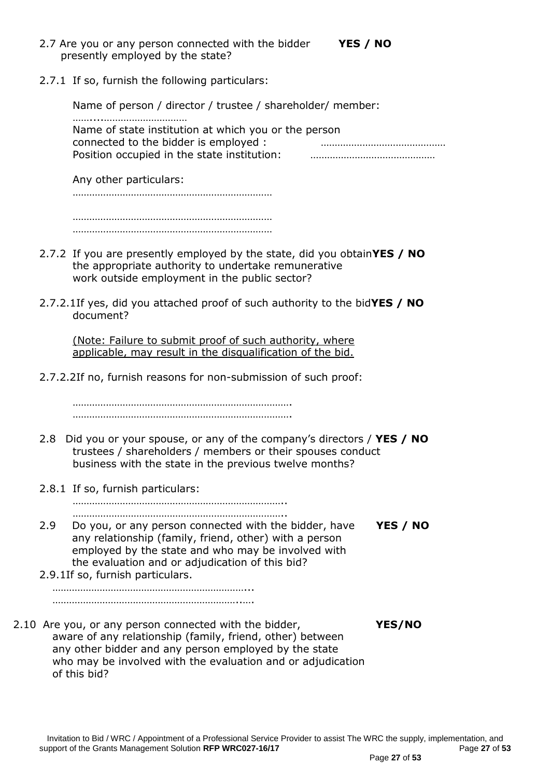- 2.7 Are you or any person connected with the bidder **YES / NO** presently employed by the state?
- 
- 2.7.1 If so, furnish the following particulars:

Name of person / director / trustee / shareholder/ member: ……....………………………… Name of state institution at which you or the person connected to the bidder is employed : ……………………………………… Position occupied in the state institution: ………………………………………

Any other particulars:

……………………………………………………………… ………………………………………………………………

………………………………………………………………

- 2.7.2 If you are presently employed by the state, did you obtain**YES / NO** the appropriate authority to undertake remunerative work outside employment in the public sector?
- 2.7.2.1If yes, did you attached proof of such authority to the bid**YES / NO** document?

(Note: Failure to submit proof of such authority, where applicable, may result in the disqualification of the bid.

2.7.2.2If no, furnish reasons for non-submission of such proof:

……………………………………………………………………. …………………………………………………………………….

- 2.8 Did you or your spouse, or any of the company's directors / **YES / NO** trustees / shareholders / members or their spouses conduct business with the state in the previous twelve months?
- 2.8.1 If so, furnish particulars:

………………………………………………………………….. …………………………………………………………………..

- 2.9 Do you, or any person connected with the bidder, have **YES / NO** any relationship (family, friend, other) with a person employed by the state and who may be involved with the evaluation and or adjudication of this bid?
- 2.9.1If so, furnish particulars. ……………………………………………………………...

…………………………………………………………..….

2.10 Are you, or any person connected with the bidder, **YES/NO** aware of any relationship (family, friend, other) between any other bidder and any person employed by the state who may be involved with the evaluation and or adjudication of this bid?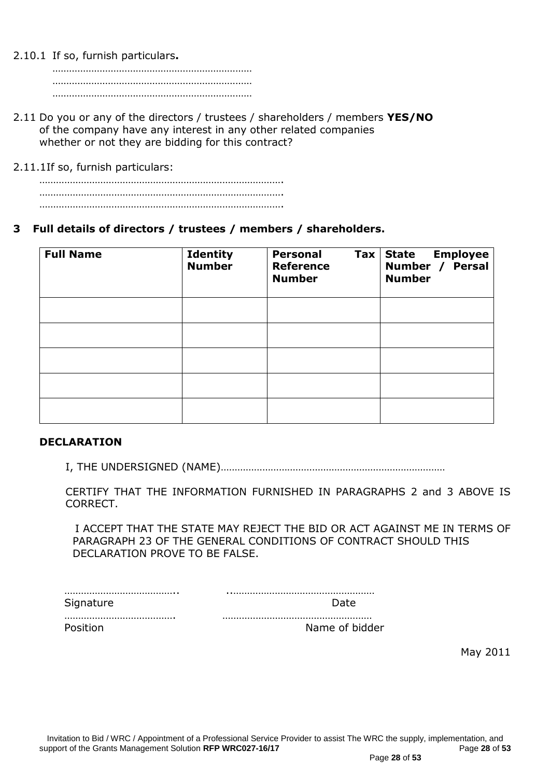2.10.1 If so, furnish particulars**.**

……………………………………………………………… ……………………………………………………………… ………………………………………………………………

2.11 Do you or any of the directors / trustees / shareholders / members **YES/NO** of the company have any interest in any other related companies whether or not they are bidding for this contract?

2.11.1If so, furnish particulars:

## **3 Full details of directors / trustees / members / shareholders.**

| <b>Full Name</b> | <b>Identity</b><br><b>Number</b> | <b>Personal</b><br>$\mathsf{Tax}$<br><b>Reference</b><br><b>Number</b> | <b>State Employee</b><br>Number / Persal<br><b>Number</b> |
|------------------|----------------------------------|------------------------------------------------------------------------|-----------------------------------------------------------|
|                  |                                  |                                                                        |                                                           |
|                  |                                  |                                                                        |                                                           |
|                  |                                  |                                                                        |                                                           |
|                  |                                  |                                                                        |                                                           |
|                  |                                  |                                                                        |                                                           |

#### **DECLARATION**

I, THE UNDERSIGNED (NAME)………………………………………………………………………

CERTIFY THAT THE INFORMATION FURNISHED IN PARAGRAPHS 2 and 3 ABOVE IS CORRECT.

 I ACCEPT THAT THE STATE MAY REJECT THE BID OR ACT AGAINST ME IN TERMS OF PARAGRAPH 23 OF THE GENERAL CONDITIONS OF CONTRACT SHOULD THIS DECLARATION PROVE TO BE FALSE.

| Siar |  |
|------|--|

…………………………………. ………………………………………………

Position **Name of bidder** 

May 2011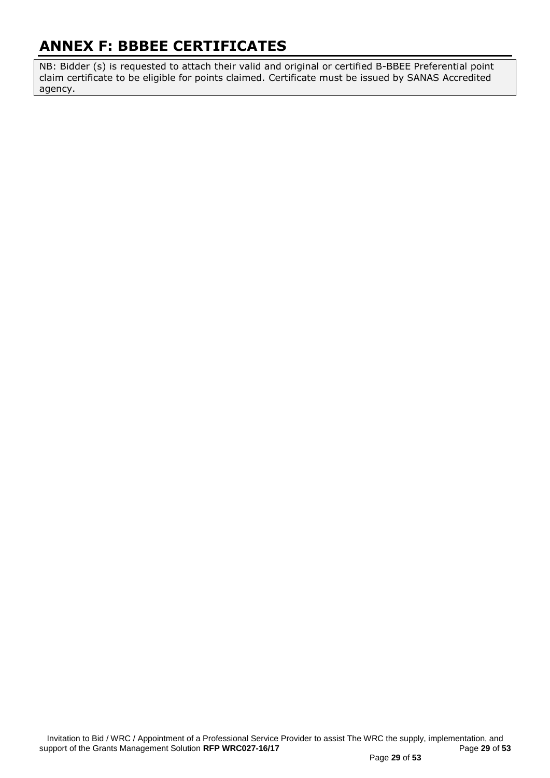## **ANNEX F: BBBEE CERTIFICATES**

NB: Bidder (s) is requested to attach their valid and original or certified B-BBEE Preferential point claim certificate to be eligible for points claimed. Certificate must be issued by SANAS Accredited agency.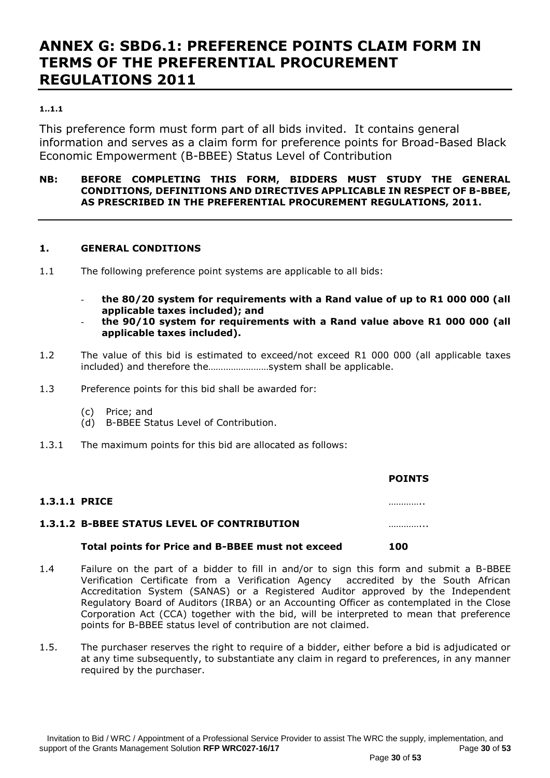## **ANNEX G: SBD6.1: PREFERENCE POINTS CLAIM FORM IN TERMS OF THE PREFERENTIAL PROCUREMENT REGULATIONS 2011**

#### **1..1.1**

This preference form must form part of all bids invited. It contains general information and serves as a claim form for preference points for Broad-Based Black Economic Empowerment (B-BBEE) Status Level of Contribution

#### **NB: BEFORE COMPLETING THIS FORM, BIDDERS MUST STUDY THE GENERAL CONDITIONS, DEFINITIONS AND DIRECTIVES APPLICABLE IN RESPECT OF B-BBEE, AS PRESCRIBED IN THE PREFERENTIAL PROCUREMENT REGULATIONS, 2011.**

#### **1. GENERAL CONDITIONS**

- 1.1 The following preference point systems are applicable to all bids:
	- **the 80/20 system for requirements with a Rand value of up to R1 000 000 (all applicable taxes included); and**
	- **the 90/10 system for requirements with a Rand value above R1 000 000 (all applicable taxes included).**
- 1.2 The value of this bid is estimated to exceed/not exceed R1 000 000 (all applicable taxes included) and therefore the……………………system shall be applicable.
- 1.3 Preference points for this bid shall be awarded for:
	- (c) Price; and
	- (d) B-BBEE Status Level of Contribution.
- 1.3.1 The maximum points for this bid are allocated as follows:

|                      |                                                    | <b>POINTS</b> |  |
|----------------------|----------------------------------------------------|---------------|--|
| <b>1.3.1.1 PRICE</b> |                                                    | .             |  |
|                      | <b>1.3.1.2 B-BBEE STATUS LEVEL OF CONTRIBUTION</b> |               |  |
|                      | Total points for Price and B-BBEE must not exceed  | 100           |  |

- 1.4 Failure on the part of a bidder to fill in and/or to sign this form and submit a B-BBEE Verification Certificate from a Verification Agency accredited by the South African Accreditation System (SANAS) or a Registered Auditor approved by the Independent Regulatory Board of Auditors (IRBA) or an Accounting Officer as contemplated in the Close Corporation Act (CCA) together with the bid, will be interpreted to mean that preference points for B-BBEE status level of contribution are not claimed.
- 1.5. The purchaser reserves the right to require of a bidder, either before a bid is adjudicated or at any time subsequently, to substantiate any claim in regard to preferences, in any manner required by the purchaser.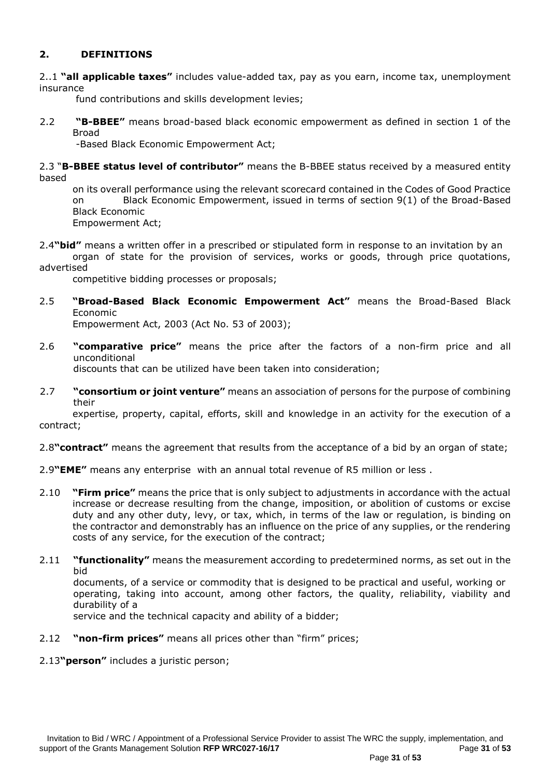## **2. DEFINITIONS**

2..1 **"all applicable taxes"** includes value-added tax, pay as you earn, income tax, unemployment insurance

fund contributions and skills development levies;

2.2 **"B-BBEE"** means broad-based black economic empowerment as defined in section 1 of the Broad

-Based Black Economic Empowerment Act;

2.3 "**B-BBEE status level of contributor"** means the B-BBEE status received by a measured entity based

on its overall performance using the relevant scorecard contained in the Codes of Good Practice on Black Economic Empowerment, issued in terms of section 9(1) of the Broad-Based Black Economic Empowerment Act;

2.4**"bid"** means a written offer in a prescribed or stipulated form in response to an invitation by an organ of state for the provision of services, works or goods, through price quotations,

advertised

competitive bidding processes or proposals;

2.5 **"Broad-Based Black Economic Empowerment Act"** means the Broad-Based Black Economic

Empowerment Act, 2003 (Act No. 53 of 2003);

2.6 **"comparative price"** means the price after the factors of a non-firm price and all unconditional discounts that can be utilized have been taken into consideration;

2.7 **"consortium or joint venture"** means an association of persons for the purpose of combining their

expertise, property, capital, efforts, skill and knowledge in an activity for the execution of a contract;

2.8**"contract"** means the agreement that results from the acceptance of a bid by an organ of state;

- 2.9**"EME"** means any enterprise with an annual total revenue of R5 million or less .
- 2.10 **"Firm price"** means the price that is only subject to adjustments in accordance with the actual increase or decrease resulting from the change, imposition, or abolition of customs or excise duty and any other duty, levy, or tax, which, in terms of the law or regulation, is binding on the contractor and demonstrably has an influence on the price of any supplies, or the rendering costs of any service, for the execution of the contract;
- 2.11 **"functionality"** means the measurement according to predetermined norms, as set out in the bid

documents, of a service or commodity that is designed to be practical and useful, working or operating, taking into account, among other factors, the quality, reliability, viability and durability of a

service and the technical capacity and ability of a bidder;

2.12 **"non-firm prices"** means all prices other than "firm" prices;

2.13**"person"** includes a juristic person;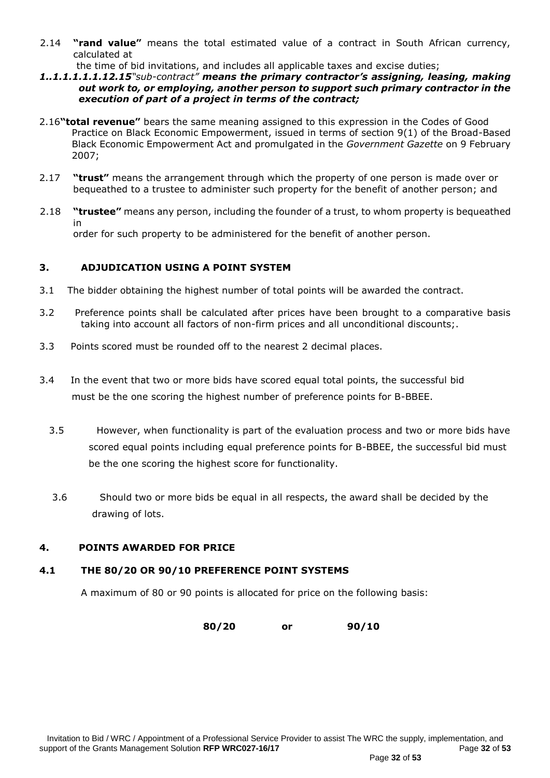- 2.14 **"rand value"** means the total estimated value of a contract in South African currency, calculated at
	- the time of bid invitations, and includes all applicable taxes and excise duties;
- *1..1.1.1.1.1.12.15"sub-contract" means the primary contractor's assigning, leasing, making out work to, or employing, another person to support such primary contractor in the execution of part of a project in terms of the contract;*
- 2.16**"total revenue"** bears the same meaning assigned to this expression in the Codes of Good Practice on Black Economic Empowerment, issued in terms of section 9(1) of the Broad-Based Black Economic Empowerment Act and promulgated in the *Government Gazette* on 9 February 2007;
- 2.17 **"trust"** means the arrangement through which the property of one person is made over or bequeathed to a trustee to administer such property for the benefit of another person; and
- 2.18 **"trustee"** means any person, including the founder of a trust, to whom property is bequeathed in order for such property to be administered for the benefit of another person.

#### **3. ADJUDICATION USING A POINT SYSTEM**

- 3.1 The bidder obtaining the highest number of total points will be awarded the contract.
- 3.2 Preference points shall be calculated after prices have been brought to a comparative basis taking into account all factors of non-firm prices and all unconditional discounts;.
- 3.3 Points scored must be rounded off to the nearest 2 decimal places.
- 3.4 In the event that two or more bids have scored equal total points, the successful bid must be the one scoring the highest number of preference points for B-BBEE.
	- 3.5 However, when functionality is part of the evaluation process and two or more bids have scored equal points including equal preference points for B-BBEE, the successful bid must be the one scoring the highest score for functionality.
	- 3.6 Should two or more bids be equal in all respects, the award shall be decided by the drawing of lots.

#### **4. POINTS AWARDED FOR PRICE**

#### **4.1 THE 80/20 OR 90/10 PREFERENCE POINT SYSTEMS**

A maximum of 80 or 90 points is allocated for price on the following basis:

**80/20 or 90/10**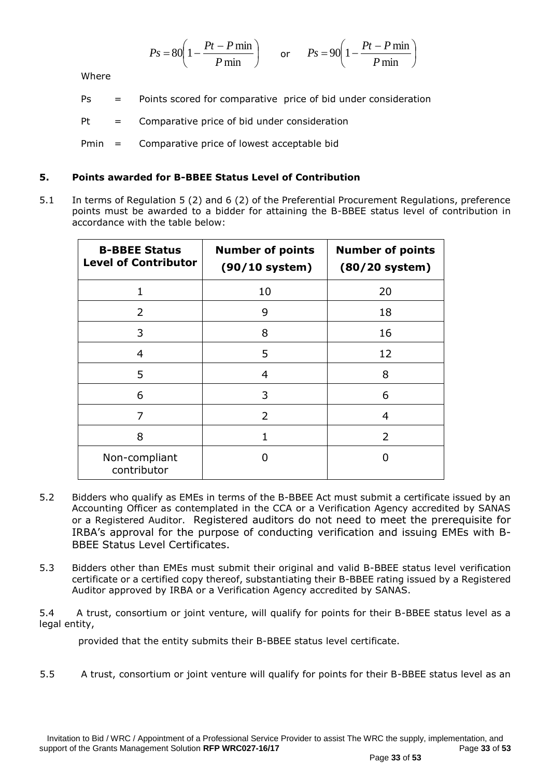$$
Ps = 80 \left( 1 - \frac{Pt - P \min}{P \min} \right) \qquad \text{or} \qquad Ps = 90 \left( 1 - \frac{Pt - P \min}{P \min} \right)
$$

Where

Ps = Points scored for comparative price of bid under consideration

 $Pt = Comparative price of bid under consideration$ 

Pmin = Comparative price of lowest acceptable bid

### **5. Points awarded for B-BBEE Status Level of Contribution**

5.1 In terms of Regulation 5 (2) and 6 (2) of the Preferential Procurement Regulations, preference points must be awarded to a bidder for attaining the B-BBEE status level of contribution in accordance with the table below:

| <b>B-BBEE Status</b><br><b>Level of Contributor</b> | <b>Number of points</b><br>$(90/10$ system) | <b>Number of points</b><br>$(80/20$ system) |
|-----------------------------------------------------|---------------------------------------------|---------------------------------------------|
| $\mathbf{1}$                                        | 10                                          | 20                                          |
| $\mathcal{P}$                                       | 9                                           | 18                                          |
| 3                                                   | 8                                           | 16                                          |
| 4                                                   | 5                                           | 12                                          |
| 5                                                   | 4                                           | 8                                           |
| 6                                                   | 3                                           | 6                                           |
| 7                                                   | $\mathcal{P}$                               | 4                                           |
| 8                                                   |                                             | $\overline{2}$                              |
| Non-compliant<br>contributor                        | 0                                           |                                             |

- 5.2 Bidders who qualify as EMEs in terms of the B-BBEE Act must submit a certificate issued by an Accounting Officer as contemplated in the CCA or a Verification Agency accredited by SANAS or a Registered Auditor. Registered auditors do not need to meet the prerequisite for IRBA's approval for the purpose of conducting verification and issuing EMEs with B-BBEE Status Level Certificates.
- 5.3 Bidders other than EMEs must submit their original and valid B-BBEE status level verification certificate or a certified copy thereof, substantiating their B-BBEE rating issued by a Registered Auditor approved by IRBA or a Verification Agency accredited by SANAS.

5.4 A trust, consortium or joint venture, will qualify for points for their B-BBEE status level as a legal entity,

provided that the entity submits their B-BBEE status level certificate.

5.5 A trust, consortium or joint venture will qualify for points for their B-BBEE status level as an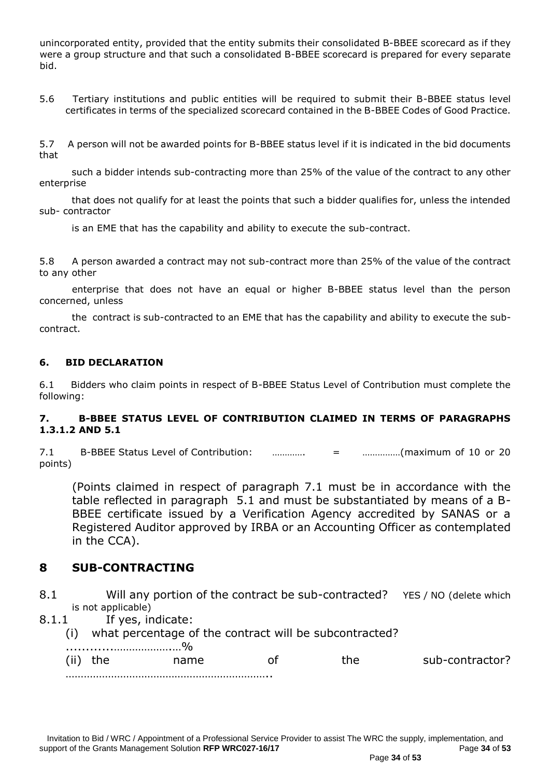unincorporated entity, provided that the entity submits their consolidated B-BBEE scorecard as if they were a group structure and that such a consolidated B-BBEE scorecard is prepared for every separate bid.

5.6 Tertiary institutions and public entities will be required to submit their B-BBEE status level certificates in terms of the specialized scorecard contained in the B-BBEE Codes of Good Practice.

5.7 A person will not be awarded points for B-BBEE status level if it is indicated in the bid documents that

 such a bidder intends sub-contracting more than 25% of the value of the contract to any other enterprise

 that does not qualify for at least the points that such a bidder qualifies for, unless the intended sub- contractor

is an EME that has the capability and ability to execute the sub-contract.

5.8 A person awarded a contract may not sub-contract more than 25% of the value of the contract to any other

 enterprise that does not have an equal or higher B-BBEE status level than the person concerned, unless

 the contract is sub-contracted to an EME that has the capability and ability to execute the subcontract.

#### **6. BID DECLARATION**

6.1 Bidders who claim points in respect of B-BBEE Status Level of Contribution must complete the following:

#### **7. B-BBEE STATUS LEVEL OF CONTRIBUTION CLAIMED IN TERMS OF PARAGRAPHS 1.3.1.2 AND 5.1**

7.1 B-BBEE Status Level of Contribution: …………. = ……………(maximum of 10 or 20 points)

(Points claimed in respect of paragraph 7.1 must be in accordance with the table reflected in paragraph 5.1 and must be substantiated by means of a B-BBEE certificate issued by a Verification Agency accredited by SANAS or a Registered Auditor approved by IRBA or an Accounting Officer as contemplated in the CCA).

## **8 SUB-CONTRACTING**

- 8.1 Will any portion of the contract be sub-contracted? YES / NO (delete which is not applicable)
- 8.1.1 If yes, indicate:
	- (i) what percentage of the contract will be subcontracted?

| (ii) | name | he. | sub-contractor? |
|------|------|-----|-----------------|
|      |      |     |                 |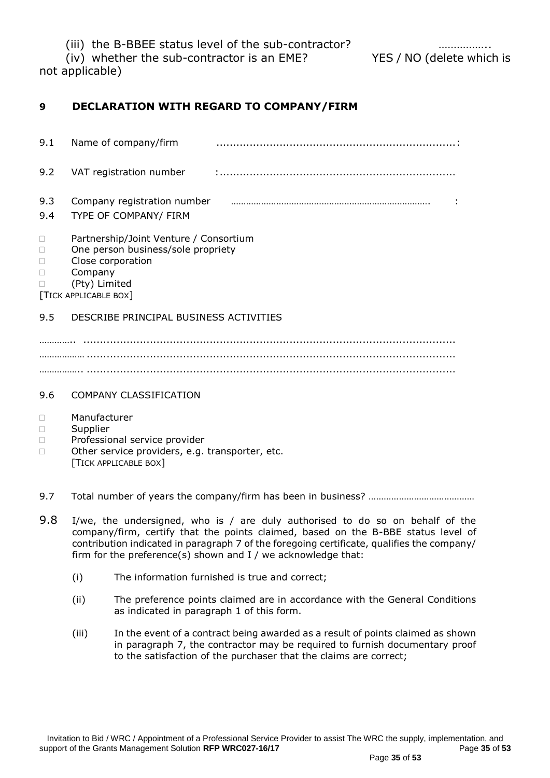(iii) the B-BBEE status level of the sub-contractor?

(iv) whether the sub-contractor is an EME? YES / NO (delete which is

not applicable)

## **9 DECLARATION WITH REGARD TO COMPANY/FIRM**

| 9.1        | Name of company/firm                                                                                                                                        |  |
|------------|-------------------------------------------------------------------------------------------------------------------------------------------------------------|--|
| 9.2        | VAT registration number                                                                                                                                     |  |
| 9.3<br>9.4 | Company registration number<br>TYPE OF COMPANY/ FIRM                                                                                                        |  |
|            | Partnership/Joint Venture / Consortium<br>One person business/sole propriety<br>Close corporation<br>Company<br>(Pty) Limited<br><b>TICK APPLICABLE BOX</b> |  |
| 9.5        | DESCRIBE PRINCIPAL BUSINESS ACTIVITIES                                                                                                                      |  |
|            |                                                                                                                                                             |  |

……………… ............................................................................................................... …………….. ...............................................................................................................

## 9.6 COMPANY CLASSIFICATION

- Manufacturer
- Supplier
- D Professional service provider
- □ Other service providers, e.g. transporter, etc. [TICK APPLICABLE BOX]
- 9.7 Total number of years the company/firm has been in business? ……………………………………
- 9.8 I/we, the undersigned, who is / are duly authorised to do so on behalf of the company/firm, certify that the points claimed, based on the B-BBE status level of contribution indicated in paragraph 7 of the foregoing certificate, qualifies the company/ firm for the preference(s) shown and I / we acknowledge that:
	- (i) The information furnished is true and correct;
	- (ii) The preference points claimed are in accordance with the General Conditions as indicated in paragraph 1 of this form.
	- (iii) In the event of a contract being awarded as a result of points claimed as shown in paragraph 7, the contractor may be required to furnish documentary proof to the satisfaction of the purchaser that the claims are correct;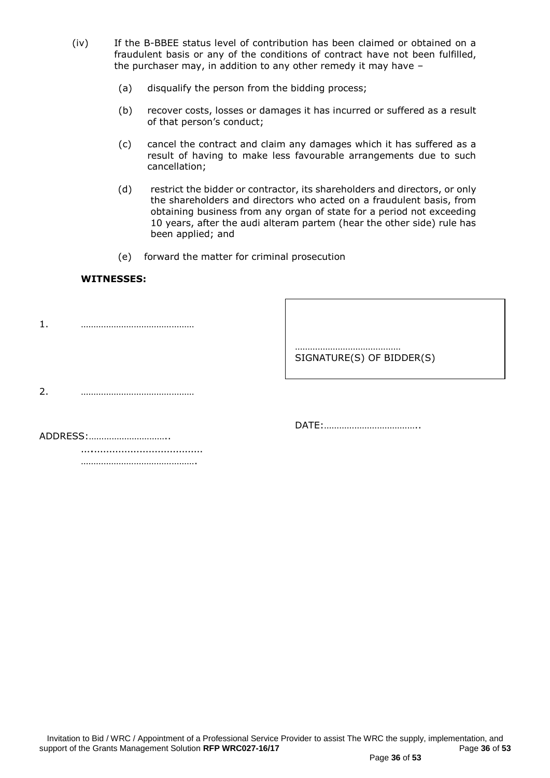- (iv) If the B-BBEE status level of contribution has been claimed or obtained on a fraudulent basis or any of the conditions of contract have not been fulfilled, the purchaser may, in addition to any other remedy it may have –
	- (a) disqualify the person from the bidding process;
	- (b) recover costs, losses or damages it has incurred or suffered as a result of that person's conduct;
	- (c) cancel the contract and claim any damages which it has suffered as a result of having to make less favourable arrangements due to such cancellation;
	- (d) restrict the bidder or contractor, its shareholders and directors, or only the shareholders and directors who acted on a fraudulent basis, from obtaining business from any organ of state for a period not exceeding 10 years, after the audi alteram partem (hear the other side) rule has been applied; and
	- (e) forward the matter for criminal prosecution

#### **WITNESSES:**

1. ………………………………………

…………………………………… SIGNATURE(S) OF BIDDER(S)

2. ………………………………………

DATE:………………………………..

ADDRESS:…………………………..

….……………………………… …………………………………………

Invitation to Bid / WRC / Appointment of a Professional Service Provider to assist The WRC the supply, implementation, and<br>pport of the Grants Management Solution RFP WRC027-16/17 support of the Grants Management Solution RFP WRC027-16/17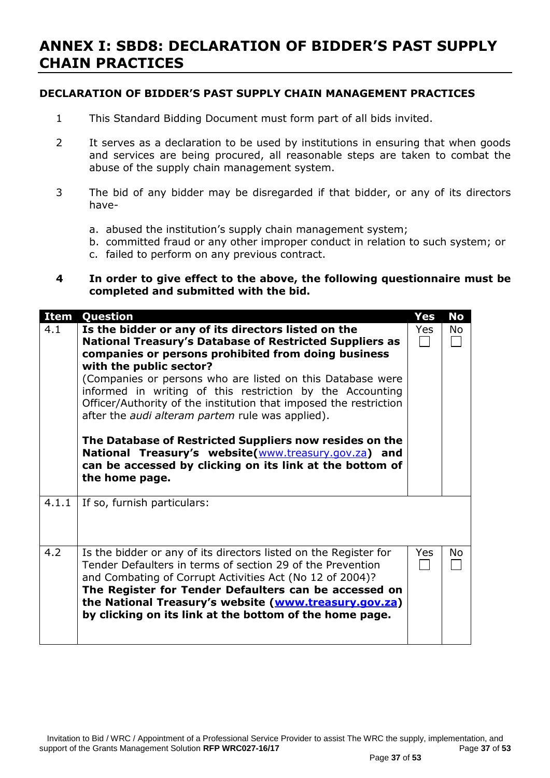## **ANNEX I: SBD8: DECLARATION OF BIDDER'S PAST SUPPLY CHAIN PRACTICES**

## **DECLARATION OF BIDDER'S PAST SUPPLY CHAIN MANAGEMENT PRACTICES**

- 1 This Standard Bidding Document must form part of all bids invited.
- 2 It serves as a declaration to be used by institutions in ensuring that when goods and services are being procured, all reasonable steps are taken to combat the abuse of the supply chain management system.
- 3 The bid of any bidder may be disregarded if that bidder, or any of its directors have
	- a. abused the institution's supply chain management system;
	- b. committed fraud or any other improper conduct in relation to such system; or
	- c. failed to perform on any previous contract.

### **4 In order to give effect to the above, the following questionnaire must be completed and submitted with the bid.**

| <b>Item</b> | Question                                                                                                                                                                                                                                                                                                                                                                                                                                                                                                                                                                                                                                                            | Yes        | <b>No</b> |
|-------------|---------------------------------------------------------------------------------------------------------------------------------------------------------------------------------------------------------------------------------------------------------------------------------------------------------------------------------------------------------------------------------------------------------------------------------------------------------------------------------------------------------------------------------------------------------------------------------------------------------------------------------------------------------------------|------------|-----------|
| 4.1         | Is the bidder or any of its directors listed on the<br><b>National Treasury's Database of Restricted Suppliers as</b><br>companies or persons prohibited from doing business<br>with the public sector?<br>(Companies or persons who are listed on this Database were<br>informed in writing of this restriction by the Accounting<br>Officer/Authority of the institution that imposed the restriction<br>after the <i>audi alteram partem</i> rule was applied).<br>The Database of Restricted Suppliers now resides on the<br>National Treasury's website(www.treasury.gov.za) and<br>can be accessed by clicking on its link at the bottom of<br>the home page. | Yes        | No        |
| 4.1.1       | If so, furnish particulars:                                                                                                                                                                                                                                                                                                                                                                                                                                                                                                                                                                                                                                         |            |           |
| 4.2         | Is the bidder or any of its directors listed on the Register for<br>Tender Defaulters in terms of section 29 of the Prevention<br>and Combating of Corrupt Activities Act (No 12 of 2004)?<br>The Register for Tender Defaulters can be accessed on<br>the National Treasury's website (www.treasury.gov.za)<br>by clicking on its link at the bottom of the home page.                                                                                                                                                                                                                                                                                             | <b>Yes</b> | No.       |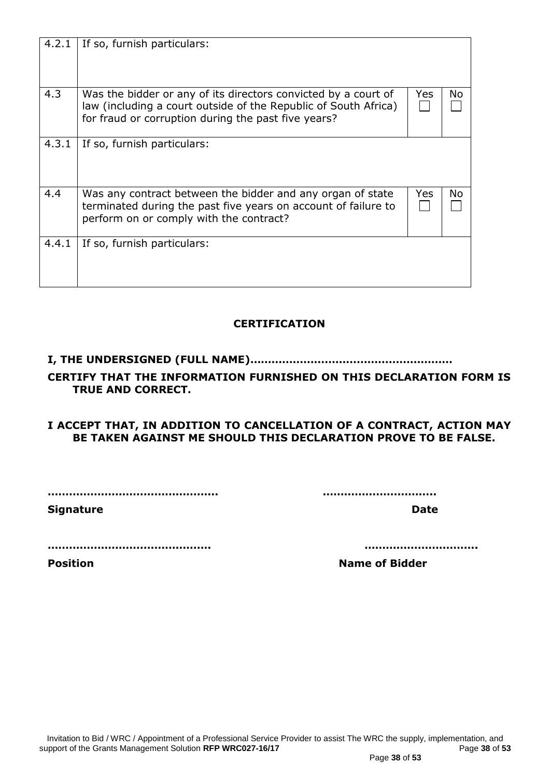| <b>Signature</b> | <b>Date</b>           |
|------------------|-----------------------|
|                  |                       |
| <b>Position</b>  | <b>Name of Bidder</b> |
|                  |                       |
|                  |                       |
|                  |                       |
|                  |                       |
|                  |                       |
|                  |                       |
|                  |                       |

| 4.2.1 | If so, furnish particulars:                                                                                                                                                              |     |    |
|-------|------------------------------------------------------------------------------------------------------------------------------------------------------------------------------------------|-----|----|
| 4.3   | Was the bidder or any of its directors convicted by a court of<br>law (including a court outside of the Republic of South Africa)<br>for fraud or corruption during the past five years? | Yes | No |
| 4.3.1 | If so, furnish particulars:                                                                                                                                                              |     |    |
| 4.4   | Was any contract between the bidder and any organ of state<br>terminated during the past five years on account of failure to<br>perform on or comply with the contract?                  | Yes | No |
| 4.4.1 | If so, furnish particulars:                                                                                                                                                              |     |    |

## **CERTIFICATION**

## **I, THE UNDERSIGNED (FULL NAME)…………………………………………………**

## **CERTIFY THAT THE INFORMATION FURNISHED ON THIS DECLARATION FORM IS TRUE AND CORRECT.**

## **I ACCEPT THAT, IN ADDITION TO CANCELLATION OF A CONTRACT, ACTION MAY BE TAKEN AGAINST ME SHOULD THIS DECLARATION PROVE TO BE FALSE.**

**………………………………………... …………………………..**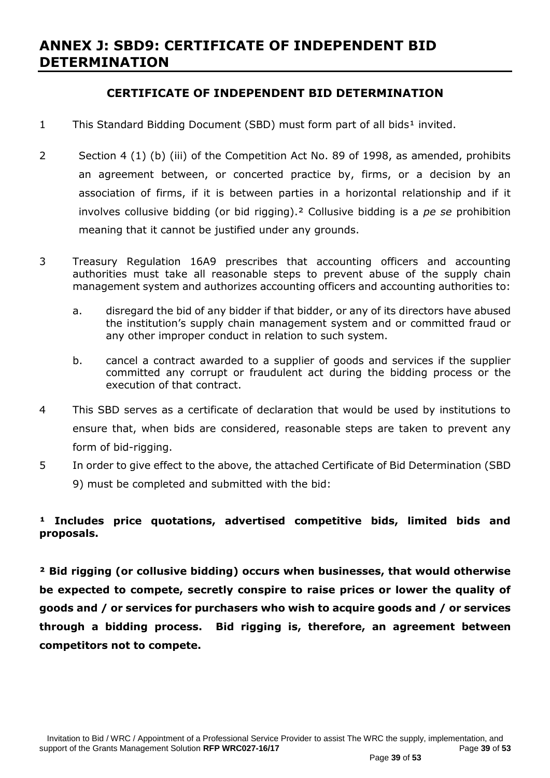## **ANNEX J: SBD9: CERTIFICATE OF INDEPENDENT BID DETERMINATION**

## **CERTIFICATE OF INDEPENDENT BID DETERMINATION**

- 1 This Standard Bidding Document (SBD) must form part of all bids<sup>1</sup> invited.
- 2 Section 4 (1) (b) (iii) of the Competition Act No. 89 of 1998, as amended, prohibits an agreement between, or concerted practice by, firms, or a decision by an association of firms, if it is between parties in a horizontal relationship and if it involves collusive bidding (or bid rigging).² Collusive bidding is a *pe se* prohibition meaning that it cannot be justified under any grounds.
- 3 Treasury Regulation 16A9 prescribes that accounting officers and accounting authorities must take all reasonable steps to prevent abuse of the supply chain management system and authorizes accounting officers and accounting authorities to:
	- a. disregard the bid of any bidder if that bidder, or any of its directors have abused the institution's supply chain management system and or committed fraud or any other improper conduct in relation to such system.
	- b. cancel a contract awarded to a supplier of goods and services if the supplier committed any corrupt or fraudulent act during the bidding process or the execution of that contract.
- 4 This SBD serves as a certificate of declaration that would be used by institutions to ensure that, when bids are considered, reasonable steps are taken to prevent any form of bid-rigging.
- 5 In order to give effect to the above, the attached Certificate of Bid Determination (SBD 9) must be completed and submitted with the bid:

## <sup>1</sup> Includes price quotations, advertised competitive bids, limited bids and **proposals.**

**² Bid rigging (or collusive bidding) occurs when businesses, that would otherwise be expected to compete, secretly conspire to raise prices or lower the quality of goods and / or services for purchasers who wish to acquire goods and / or services through a bidding process. Bid rigging is, therefore, an agreement between competitors not to compete.**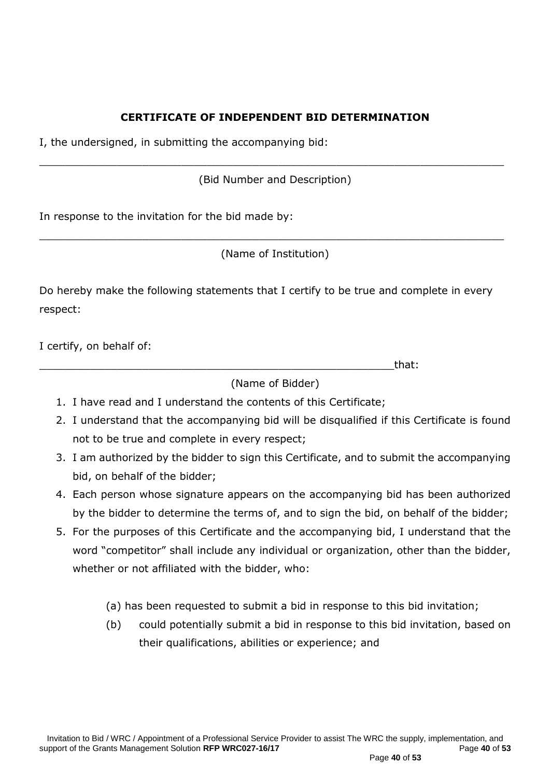## **CERTIFICATE OF INDEPENDENT BID DETERMINATION**

I, the undersigned, in submitting the accompanying bid:

(Bid Number and Description)

\_\_\_\_\_\_\_\_\_\_\_\_\_\_\_\_\_\_\_\_\_\_\_\_\_\_\_\_\_\_\_\_\_\_\_\_\_\_\_\_\_\_\_\_\_\_\_\_\_\_\_\_\_\_\_\_\_\_\_\_\_\_\_\_\_\_\_\_\_\_\_\_

In response to the invitation for the bid made by:

(Name of Institution)

\_\_\_\_\_\_\_\_\_\_\_\_\_\_\_\_\_\_\_\_\_\_\_\_\_\_\_\_\_\_\_\_\_\_\_\_\_\_\_\_\_\_\_\_\_\_\_\_\_\_\_\_\_\_\_\_\_\_\_\_\_\_\_\_\_\_\_\_\_\_\_\_

Do hereby make the following statements that I certify to be true and complete in every respect:

I certify, on behalf of:

\_\_\_\_\_\_\_\_\_\_\_\_\_\_\_\_\_\_\_\_\_\_\_\_\_\_\_\_\_\_\_\_\_\_\_\_\_\_\_\_\_\_\_\_\_\_\_\_\_\_\_\_\_\_\_that:

(Name of Bidder)

- 1. I have read and I understand the contents of this Certificate;
- 2. I understand that the accompanying bid will be disqualified if this Certificate is found not to be true and complete in every respect;
- 3. I am authorized by the bidder to sign this Certificate, and to submit the accompanying bid, on behalf of the bidder;
- 4. Each person whose signature appears on the accompanying bid has been authorized by the bidder to determine the terms of, and to sign the bid, on behalf of the bidder;
- 5. For the purposes of this Certificate and the accompanying bid, I understand that the word "competitor" shall include any individual or organization, other than the bidder, whether or not affiliated with the bidder, who:
	- (a) has been requested to submit a bid in response to this bid invitation;
	- (b) could potentially submit a bid in response to this bid invitation, based on their qualifications, abilities or experience; and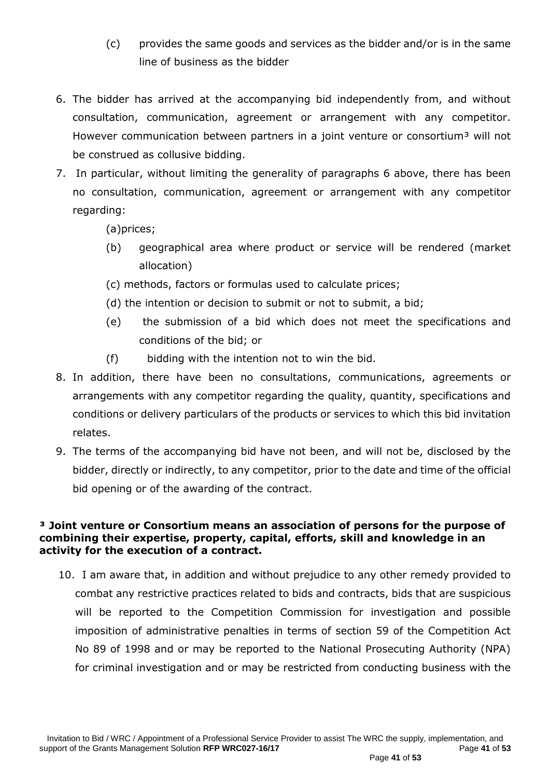- (c) provides the same goods and services as the bidder and/or is in the same line of business as the bidder
- 6. The bidder has arrived at the accompanying bid independently from, and without consultation, communication, agreement or arrangement with any competitor. However communication between partners in a joint venture or consortium<sup>3</sup> will not be construed as collusive bidding.
- 7. In particular, without limiting the generality of paragraphs 6 above, there has been no consultation, communication, agreement or arrangement with any competitor regarding:

(a)prices;

- (b) geographical area where product or service will be rendered (market allocation)
- (c) methods, factors or formulas used to calculate prices;
- (d) the intention or decision to submit or not to submit, a bid;
- (e) the submission of a bid which does not meet the specifications and conditions of the bid; or
- (f) bidding with the intention not to win the bid.
- 8. In addition, there have been no consultations, communications, agreements or arrangements with any competitor regarding the quality, quantity, specifications and conditions or delivery particulars of the products or services to which this bid invitation relates.
- 9. The terms of the accompanying bid have not been, and will not be, disclosed by the bidder, directly or indirectly, to any competitor, prior to the date and time of the official bid opening or of the awarding of the contract.

## **³ Joint venture or Consortium means an association of persons for the purpose of combining their expertise, property, capital, efforts, skill and knowledge in an activity for the execution of a contract.**

10. I am aware that, in addition and without prejudice to any other remedy provided to combat any restrictive practices related to bids and contracts, bids that are suspicious will be reported to the Competition Commission for investigation and possible imposition of administrative penalties in terms of section 59 of the Competition Act No 89 of 1998 and or may be reported to the National Prosecuting Authority (NPA) for criminal investigation and or may be restricted from conducting business with the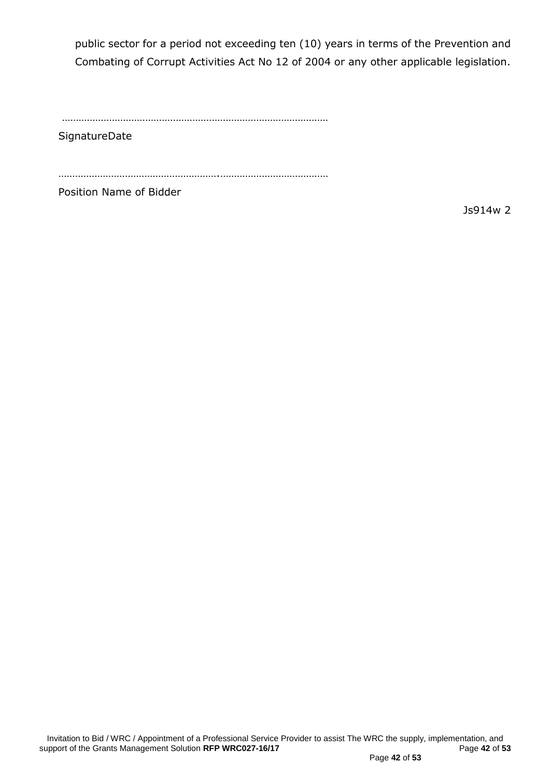public sector for a period not exceeding ten (10) years in terms of the Prevention and Combating of Corrupt Activities Act No 12 of 2004 or any other applicable legislation.

……………………………………………………………………………………

**SignatureDate** 

………………………………………………….…………………………………

Position Name of Bidder

Js914w 2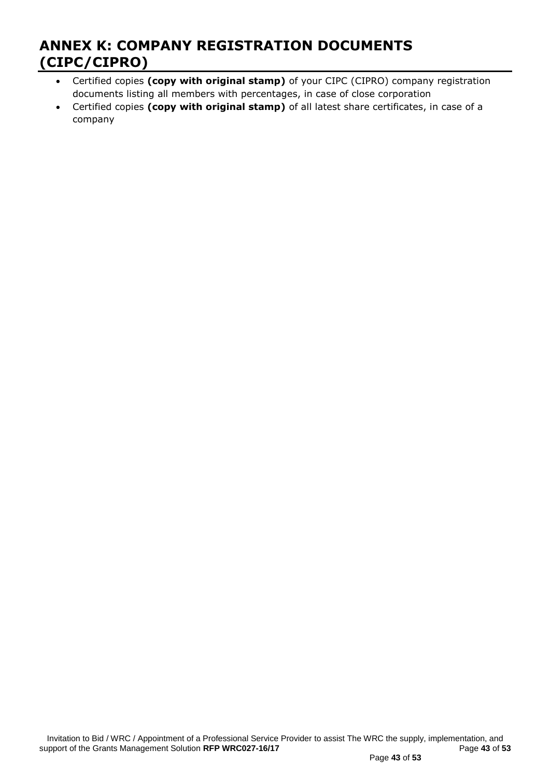## **ANNEX K: COMPANY REGISTRATION DOCUMENTS (CIPC/CIPRO)**

- Certified copies **(copy with original stamp)** of your CIPC (CIPRO) company registration documents listing all members with percentages, in case of close corporation
- Certified copies **(copy with original stamp)** of all latest share certificates, in case of a company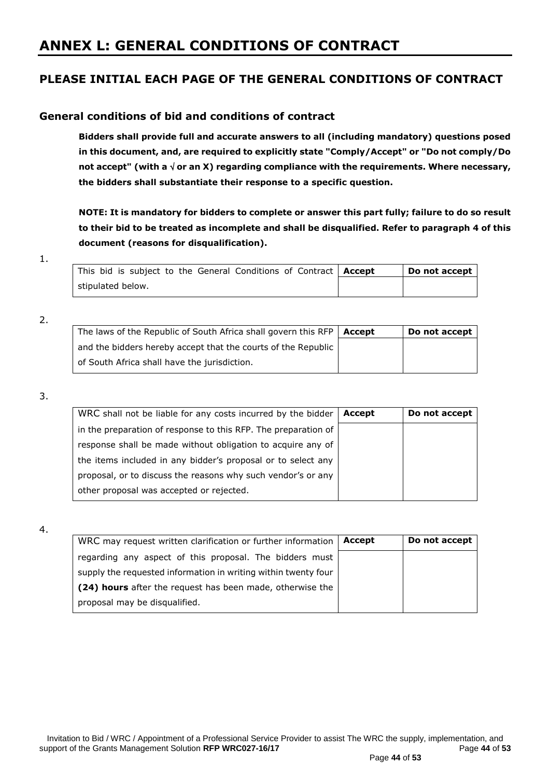## **ANNEX L: GENERAL CONDITIONS OF CONTRACT**

## **PLEASE INITIAL EACH PAGE OF THE GENERAL CONDITIONS OF CONTRACT**

## **General conditions of bid and conditions of contract**

**Bidders shall provide full and accurate answers to all (including mandatory) questions posed in this document, and, are required to explicitly state "Comply/Accept" or "Do not comply/Do not accept" (with a or an X) regarding compliance with the requirements. Where necessary, the bidders shall substantiate their response to a specific question.**

**NOTE: It is mandatory for bidders to complete or answer this part fully; failure to do so result to their bid to be treated as incomplete and shall be disqualified. Refer to paragraph 4 of this document (reasons for disqualification).**

#### 1.

| This bid is subject to the General Conditions of Contract   Accept |  |  |  | Do not accept |
|--------------------------------------------------------------------|--|--|--|---------------|
| stipulated below.                                                  |  |  |  |               |

#### 2.

| The laws of the Republic of South Africa shall govern this RFP $\vert$ Accept | Do not accept |
|-------------------------------------------------------------------------------|---------------|
| and the bidders hereby accept that the courts of the Republic                 |               |
| of South Africa shall have the jurisdiction.                                  |               |

#### 3.

| WRC shall not be liable for any costs incurred by the bidder   | Accept | Do not accept |
|----------------------------------------------------------------|--------|---------------|
| in the preparation of response to this RFP. The preparation of |        |               |
| response shall be made without obligation to acquire any of    |        |               |
| the items included in any bidder's proposal or to select any   |        |               |
| proposal, or to discuss the reasons why such vendor's or any   |        |               |
| other proposal was accepted or rejected.                       |        |               |

#### 4.

| WRC may request written clarification or further information   | Accept | Do not accept |
|----------------------------------------------------------------|--------|---------------|
| regarding any aspect of this proposal. The bidders must        |        |               |
| supply the requested information in writing within twenty four |        |               |
| (24) hours after the request has been made, otherwise the      |        |               |
| proposal may be disqualified.                                  |        |               |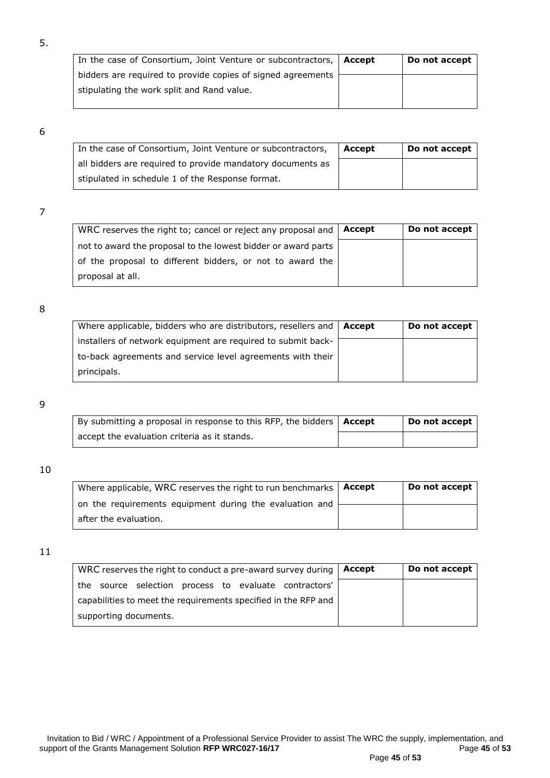| In the case of Consortium, Joint Venture or subcontractors, $\vert$ Accept | Do not accept |
|----------------------------------------------------------------------------|---------------|
| bidders are required to provide copies of signed agreements                |               |
| stipulating the work split and Rand value.                                 |               |

5.

| In the case of Consortium, Joint Venture or subcontractors, | Accept | Do not accept |
|-------------------------------------------------------------|--------|---------------|
| all bidders are required to provide mandatory documents as  |        |               |
| stipulated in schedule 1 of the Response format.            |        |               |

### 7

| WRC reserves the right to; cancel or reject any proposal and  | Accept | Do not accept |
|---------------------------------------------------------------|--------|---------------|
| not to award the proposal to the lowest bidder or award parts |        |               |
| of the proposal to different bidders, or not to award the     |        |               |
| proposal at all.                                              |        |               |

#### 8

| Where applicable, bidders who are distributors, resellers and $\vert$ Accept | Do not accept |
|------------------------------------------------------------------------------|---------------|
| installers of network equipment are required to submit back-                 |               |
| to-back agreements and service level agreements with their                   |               |
| principals.                                                                  |               |

#### 9

| By submitting a proposal in response to this RFP, the bidders $\vert$ Accept | Do not accept |
|------------------------------------------------------------------------------|---------------|
| accept the evaluation criteria as it stands.                                 |               |

#### 10

| Where applicable, WRC reserves the right to run benchmarks   Accept | Do not accept |
|---------------------------------------------------------------------|---------------|
| on the requirements equipment during the evaluation and             |               |
| after the evaluation.                                               |               |

| WRC reserves the right to conduct a pre-award survey during $\vert$ Accept | Do not accept |
|----------------------------------------------------------------------------|---------------|
| the source selection process to evaluate contractors'                      |               |
| capabilities to meet the requirements specified in the RFP and             |               |
| supporting documents.                                                      |               |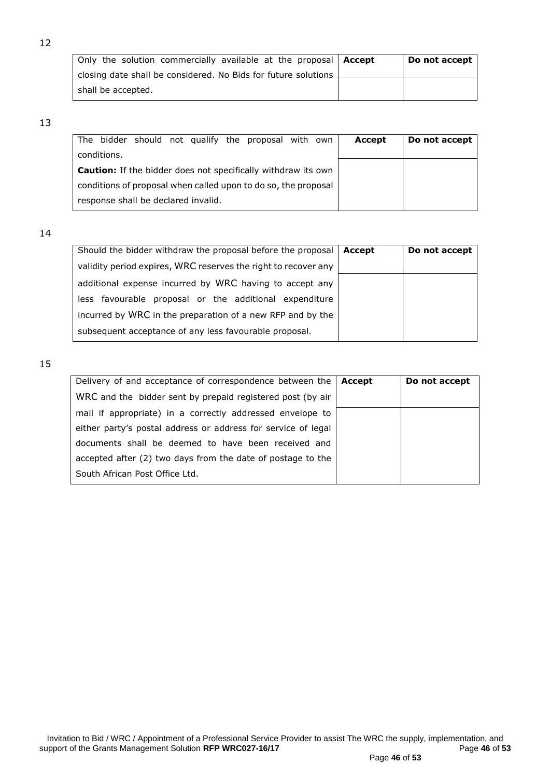| Only the solution commercially available at the proposal   Accept | Do not accept |
|-------------------------------------------------------------------|---------------|
| closing date shall be considered. No Bids for future solutions    |               |
| shall be accepted.                                                |               |

12

|                                                                      | The bidder should not qualify the proposal with own | Accept | Do not accept |
|----------------------------------------------------------------------|-----------------------------------------------------|--------|---------------|
| conditions.                                                          |                                                     |        |               |
| <b>Caution:</b> If the bidder does not specifically withdraw its own |                                                     |        |               |
| conditions of proposal when called upon to do so, the proposal       |                                                     |        |               |
| response shall be declared invalid.                                  |                                                     |        |               |

14

| Should the bidder withdraw the proposal before the proposal    | Accept | Do not accept |
|----------------------------------------------------------------|--------|---------------|
| validity period expires, WRC reserves the right to recover any |        |               |
| additional expense incurred by WRC having to accept any        |        |               |
| less favourable proposal or the additional expenditure         |        |               |
| incurred by WRC in the preparation of a new RFP and by the     |        |               |
| subsequent acceptance of any less favourable proposal.         |        |               |

| Delivery of and acceptance of correspondence between the      | Accept | Do not accept |
|---------------------------------------------------------------|--------|---------------|
| WRC and the bidder sent by prepaid registered post (by air    |        |               |
| mail if appropriate) in a correctly addressed envelope to     |        |               |
| either party's postal address or address for service of legal |        |               |
| documents shall be deemed to have been received and           |        |               |
| accepted after (2) two days from the date of postage to the   |        |               |
| South African Post Office Ltd.                                |        |               |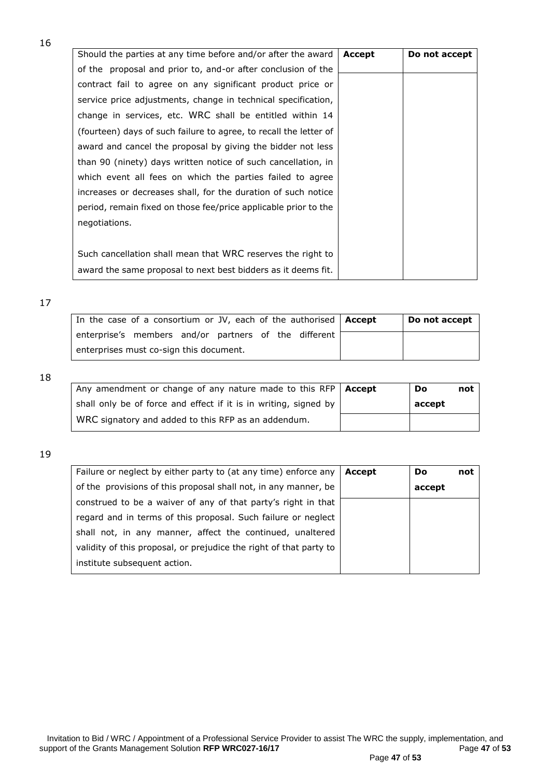| Should the parties at any time before and/or after the award      | Accept | Do not accept |
|-------------------------------------------------------------------|--------|---------------|
| of the proposal and prior to, and-or after conclusion of the      |        |               |
| contract fail to agree on any significant product price or        |        |               |
| service price adjustments, change in technical specification,     |        |               |
| change in services, etc. WRC shall be entitled within 14          |        |               |
| (fourteen) days of such failure to agree, to recall the letter of |        |               |
| award and cancel the proposal by giving the bidder not less       |        |               |
| than 90 (ninety) days written notice of such cancellation, in     |        |               |
| which event all fees on which the parties failed to agree         |        |               |
| increases or decreases shall, for the duration of such notice     |        |               |
| period, remain fixed on those fee/price applicable prior to the   |        |               |
| negotiations.                                                     |        |               |
|                                                                   |        |               |
| Such cancellation shall mean that WRC reserves the right to       |        |               |
| award the same proposal to next best bidders as it deems fit.     |        |               |

#### 17

| In the case of a consortium or JV, each of the authorised   Accept | Do not accept |
|--------------------------------------------------------------------|---------------|
| enterprise's members and/or partners of the different              |               |
| enterprises must co-sign this document.                            |               |

18

| Any amendment or change of any nature made to this RFP   Accept  | Do     | not |
|------------------------------------------------------------------|--------|-----|
| shall only be of force and effect if it is in writing, signed by | accept |     |
| WRC signatory and added to this RFP as an addendum.              |        |     |

| Failure or neglect by either party to (at any time) enforce any    | Accept | <b>Do</b> | not |
|--------------------------------------------------------------------|--------|-----------|-----|
| of the provisions of this proposal shall not, in any manner, be    |        | accept    |     |
| construed to be a waiver of any of that party's right in that      |        |           |     |
| regard and in terms of this proposal. Such failure or neglect      |        |           |     |
| shall not, in any manner, affect the continued, unaltered          |        |           |     |
| validity of this proposal, or prejudice the right of that party to |        |           |     |
| institute subsequent action.                                       |        |           |     |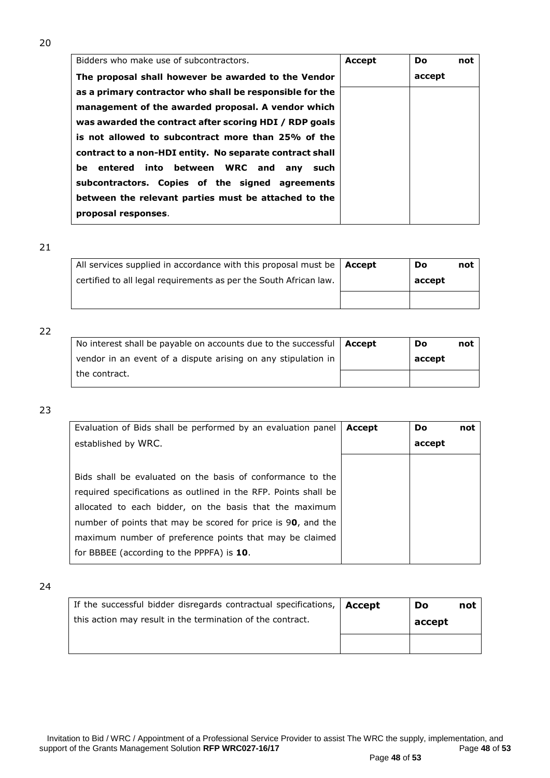| Bidders who make use of subcontractors.                  | <b>Accept</b> | Do.    | not |
|----------------------------------------------------------|---------------|--------|-----|
| The proposal shall however be awarded to the Vendor      |               | accept |     |
| as a primary contractor who shall be responsible for the |               |        |     |
| management of the awarded proposal. A vendor which       |               |        |     |
| was awarded the contract after scoring HDI / RDP goals   |               |        |     |
| is not allowed to subcontract more than 25% of the       |               |        |     |
| contract to a non-HDI entity. No separate contract shall |               |        |     |
| be entered into between WRC and any such                 |               |        |     |
| subcontractors. Copies of the signed agreements          |               |        |     |
| between the relevant parties must be attached to the     |               |        |     |
| proposal responses.                                      |               |        |     |

| All services supplied in accordance with this proposal must be $ $ Accept | Do     | not |
|---------------------------------------------------------------------------|--------|-----|
| certified to all legal requirements as per the South African law.         | accept |     |
|                                                                           |        |     |

#### 22

| No interest shall be payable on accounts due to the successful $\vert$ Accept | Do     | not |
|-------------------------------------------------------------------------------|--------|-----|
| vendor in an event of a dispute arising on any stipulation in                 | accept |     |
| the contract.                                                                 |        |     |

### 23

| Evaluation of Bids shall be performed by an evaluation panel    | Accept | Do.    | not |
|-----------------------------------------------------------------|--------|--------|-----|
| established by WRC.                                             |        | accept |     |
|                                                                 |        |        |     |
| Bids shall be evaluated on the basis of conformance to the      |        |        |     |
| required specifications as outlined in the RFP. Points shall be |        |        |     |
| allocated to each bidder, on the basis that the maximum         |        |        |     |
| number of points that may be scored for price is 90, and the    |        |        |     |
| maximum number of preference points that may be claimed         |        |        |     |
| for BBBEE (according to the PPPFA) is 10.                       |        |        |     |

| If the successful bidder disregards contractual specifications, $ $ Accept | Do     | not |
|----------------------------------------------------------------------------|--------|-----|
| this action may result in the termination of the contract.                 | accept |     |
|                                                                            |        |     |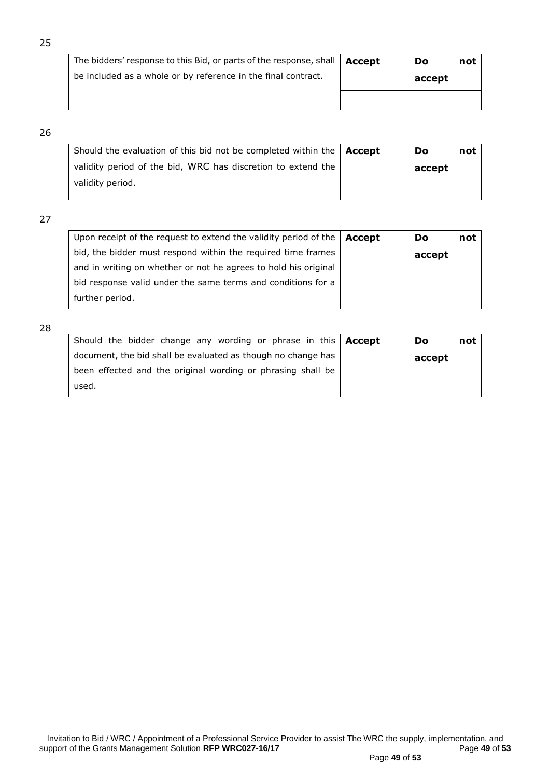| The bidders' response to this Bid, or parts of the response, shall   Accept | Do     | not |
|-----------------------------------------------------------------------------|--------|-----|
| be included as a whole or by reference in the final contract.               | accept |     |
|                                                                             |        |     |

| Should the evaluation of this bid not be completed within the $\Delta$ Accept | Do |        | not |
|-------------------------------------------------------------------------------|----|--------|-----|
| validity period of the bid, WRC has discretion to extend the                  |    | accept |     |
| validity period.                                                              |    |        |     |

## 27

| Upon receipt of the request to extend the validity period of the | Accept | Do     | not |
|------------------------------------------------------------------|--------|--------|-----|
| bid, the bidder must respond within the required time frames     |        | accept |     |
| and in writing on whether or not he agrees to hold his original  |        |        |     |
| bid response valid under the same terms and conditions for a     |        |        |     |
| further period.                                                  |        |        |     |

| Should the bidder change any wording or phrase in this   Accept | Do     | not |
|-----------------------------------------------------------------|--------|-----|
| document, the bid shall be evaluated as though no change has    | accept |     |
| been effected and the original wording or phrasing shall be     |        |     |
| used.                                                           |        |     |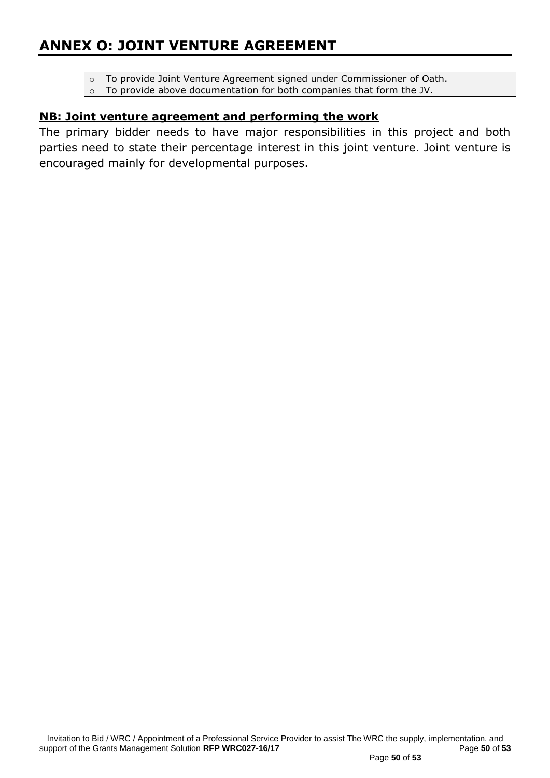## **ANNEX O: JOINT VENTURE AGREEMENT**

- o To provide Joint Venture Agreement signed under Commissioner of Oath.
- o To provide above documentation for both companies that form the JV.

## **NB: Joint venture agreement and performing the work**

The primary bidder needs to have major responsibilities in this project and both parties need to state their percentage interest in this joint venture. Joint venture is encouraged mainly for developmental purposes.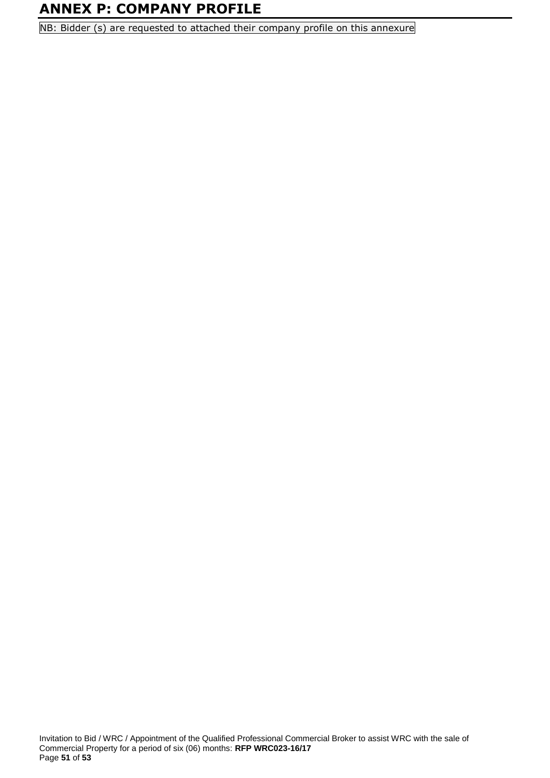## **ANNEX P: COMPANY PROFILE**

NB: Bidder (s) are requested to attached their company profile on this annexure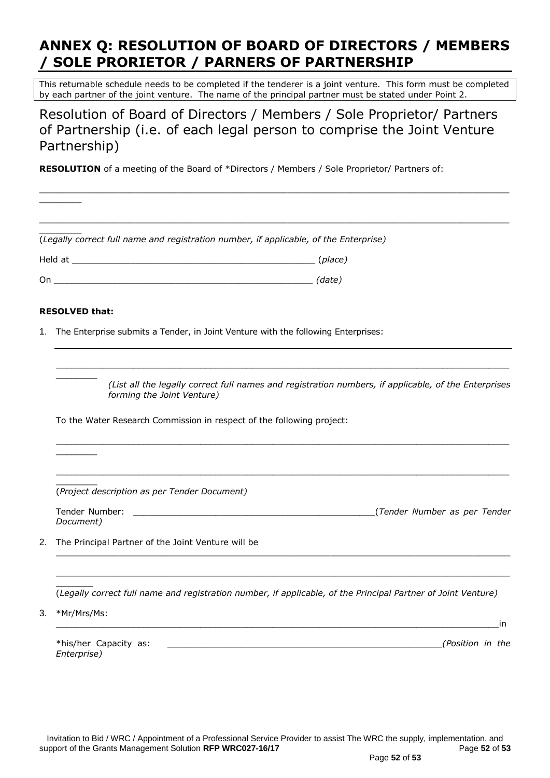## **ANNEX Q: RESOLUTION OF BOARD OF DIRECTORS / MEMBERS / SOLE PRORIETOR / PARNERS OF PARTNERSHIP**

This returnable schedule needs to be completed if the tenderer is a joint venture. This form must be completed by each partner of the joint venture. The name of the principal partner must be stated under Point 2.

Resolution of Board of Directors / Members / Sole Proprietor/ Partners of Partnership (i.e. of each legal person to comprise the Joint Venture Partnership)

**RESOLUTION** of a meeting of the Board of \*Directors / Members / Sole Proprietor/ Partners of:

|    | (Legally correct full name and registration number, if applicable, of the Enterprise)                                                                                                                                                                         |  |  |  |  |
|----|---------------------------------------------------------------------------------------------------------------------------------------------------------------------------------------------------------------------------------------------------------------|--|--|--|--|
|    |                                                                                                                                                                                                                                                               |  |  |  |  |
|    | On (date)                                                                                                                                                                                                                                                     |  |  |  |  |
|    | <b>RESOLVED that:</b>                                                                                                                                                                                                                                         |  |  |  |  |
| 1. | The Enterprise submits a Tender, in Joint Venture with the following Enterprises:                                                                                                                                                                             |  |  |  |  |
|    |                                                                                                                                                                                                                                                               |  |  |  |  |
|    | (List all the legally correct full names and registration numbers, if applicable, of the Enterprises<br>forming the Joint Venture)                                                                                                                            |  |  |  |  |
|    | To the Water Research Commission in respect of the following project:                                                                                                                                                                                         |  |  |  |  |
|    |                                                                                                                                                                                                                                                               |  |  |  |  |
|    | (Project description as per Tender Document)                                                                                                                                                                                                                  |  |  |  |  |
|    | (Tender Number as per Tender) [1999] [1999] [1999] [1999] [1999] [1999] [1999] [1999] [1999] [1999] [1999] [1999] [1999] [1999] [1999] [1999] [1999] [1999] [1999] [1999] [1999] [1999] [1999] [1999] [1999] [1999] [1999] [19<br>Tender Number:<br>Document) |  |  |  |  |
| 2. | The Principal Partner of the Joint Venture will be                                                                                                                                                                                                            |  |  |  |  |
|    | (Legally correct full name and registration number, if applicable, of the Principal Partner of Joint Venture)                                                                                                                                                 |  |  |  |  |
| 3. | *Mr/Mrs/Ms:<br>in                                                                                                                                                                                                                                             |  |  |  |  |
|    | *his/her Capacity as:<br>(Position in the<br>Enterprise)                                                                                                                                                                                                      |  |  |  |  |